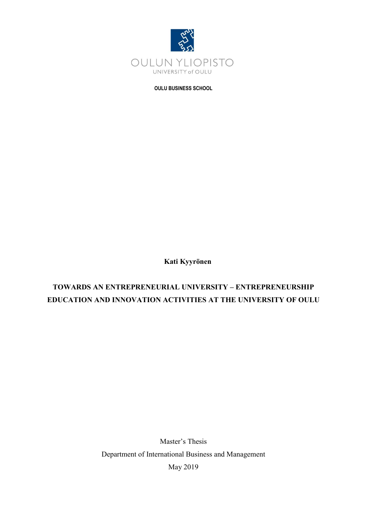

**OULU BUSINESS SCHOOL**

**Kati Kyyrönen**

# **TOWARDS AN ENTREPRENEURIAL UNIVERSITY – ENTREPRENEURSHIP EDUCATION AND INNOVATION ACTIVITIES AT THE UNIVERSITY OF OULU**

Master's Thesis Department of International Business and Management May 2019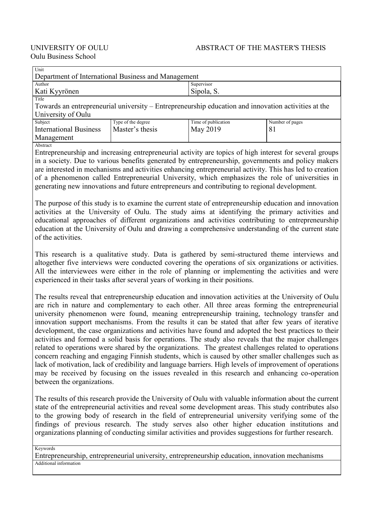| Unit                                                |                                                                                                     |                     |                 |  |  |
|-----------------------------------------------------|-----------------------------------------------------------------------------------------------------|---------------------|-----------------|--|--|
| Department of International Business and Management |                                                                                                     |                     |                 |  |  |
| Author                                              |                                                                                                     | Supervisor          |                 |  |  |
| Kati Kyyrönen                                       |                                                                                                     | Sipola, S.          |                 |  |  |
| Title                                               |                                                                                                     |                     |                 |  |  |
|                                                     | Towards an entrepreneurial university – Entrepreneurship education and innovation activities at the |                     |                 |  |  |
| University of Oulu                                  |                                                                                                     |                     |                 |  |  |
| Subject                                             | Tyne of the degree                                                                                  | Time of publication | Number of pages |  |  |

| Subject                       | Type of the degree | Time of publication | Number of pages |
|-------------------------------|--------------------|---------------------|-----------------|
| <b>International Business</b> | Master's thesis    | May 2019            |                 |
| Management                    |                    |                     |                 |
| AA                            |                    |                     |                 |

Abstract

Entrepreneurship and increasing entrepreneurial activity are topics of high interest for several groups in a society. Due to various benefits generated by entrepreneurship, governments and policy makers are interested in mechanisms and activities enhancing entrepreneurial activity. This has led to creation of a phenomenon called Entrepreneurial University, which emphasizes the role of universities in generating new innovations and future entrepreneurs and contributing to regional development.

The purpose of this study is to examine the current state of entrepreneurship education and innovation activities at the University of Oulu. The study aims at identifying the primary activities and educational approaches of different organizations and activities contributing to entrepreneurship education at the University of Oulu and drawing a comprehensive understanding of the current state of the activities.

This research is a qualitative study. Data is gathered by semi-structured theme interviews and altogether five interviews were conducted covering the operations of six organizations or activities. All the interviewees were either in the role of planning or implementing the activities and were experienced in their tasks after several years of working in their positions.

The results reveal that entrepreneurship education and innovation activities at the University of Oulu are rich in nature and complementary to each other. All three areas forming the entrepreneurial university phenomenon were found, meaning entrepreneurship training, technology transfer and innovation support mechanisms. From the results it can be stated that after few years of iterative development, the case organizations and activities have found and adopted the best practices to their activities and formed a solid basis for operations. The study also reveals that the major challenges related to operations were shared by the organizations. The greatest challenges related to operations concern reaching and engaging Finnish students, which is caused by other smaller challenges such as lack of motivation, lack of credibility and language barriers. High levels of improvement of operations may be received by focusing on the issues revealed in this research and enhancing co-operation between the organizations.

The results of this research provide the University of Oulu with valuable information about the current state of the entrepreneurial activities and reveal some development areas. This study contributes also to the growing body of research in the field of entrepreneurial university verifying some of the findings of previous research. The study serves also other higher education institutions and organizations planning of conducting similar activities and provides suggestions for further research.

Keywords

Entrepreneurship, entrepreneurial university, entrepreneurship education, innovation mechanisms Additional information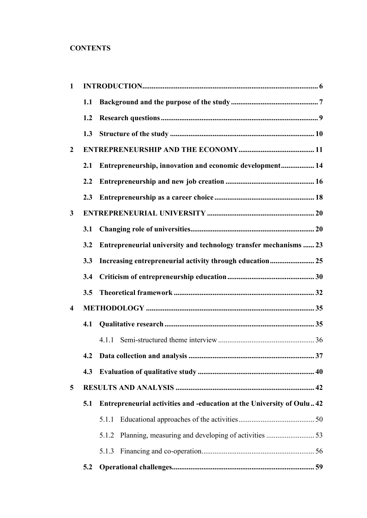# **CONTENTS**

| $\mathbf{1}$            |     |                                                                       |    |
|-------------------------|-----|-----------------------------------------------------------------------|----|
|                         | 1.1 |                                                                       |    |
|                         | 1.2 |                                                                       |    |
|                         | 1.3 |                                                                       |    |
| $\overline{2}$          |     |                                                                       |    |
|                         | 2.1 | Entrepreneurship, innovation and economic development 14              |    |
|                         | 2.2 |                                                                       |    |
|                         | 2.3 |                                                                       |    |
| 3                       |     |                                                                       |    |
|                         | 3.1 |                                                                       |    |
|                         | 3.2 | Entrepreneurial university and technology transfer mechanisms  23     |    |
|                         | 3.3 |                                                                       |    |
|                         | 3.4 |                                                                       |    |
|                         | 3.5 |                                                                       |    |
| $\overline{\mathbf{4}}$ |     |                                                                       |    |
|                         | 4.1 |                                                                       |    |
|                         |     | 4.1.1                                                                 |    |
|                         |     | 4.2 Data collection and analysis                                      | 37 |
|                         | 4.3 |                                                                       |    |
| $5\overline{)}$         |     |                                                                       |    |
|                         | 5.1 | Entrepreneurial activities and -education at the University of Oulu42 |    |
|                         |     | 5.1.1                                                                 |    |
|                         |     | 5.1.2                                                                 |    |
|                         |     | 5.1.3                                                                 |    |
|                         | 5.2 |                                                                       |    |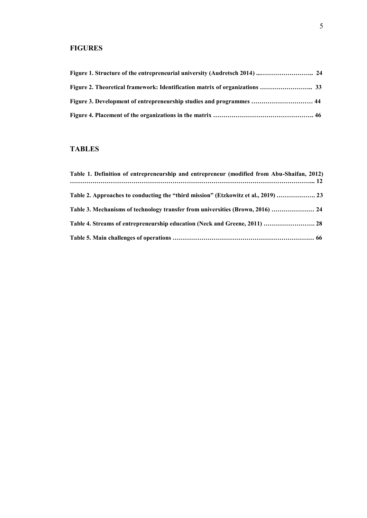# **FIGURES**

| Figure 3. Development of entrepreneurship studies and programmes  44 |  |
|----------------------------------------------------------------------|--|
|                                                                      |  |

## **TABLES**

| Table 1. Definition of entrepreneurship and entrepreneur (modified from Abu-Shaifan, 2012) |  |
|--------------------------------------------------------------------------------------------|--|
| Table 2. Approaches to conducting the "third mission" (Etzkowitz et al., 2019)  23         |  |
| Table 3. Mechanisms of technology transfer from universities (Brown, 2016)  24             |  |
| Table 4. Streams of entrepreneurship education (Neck and Greene, 2011)  28                 |  |
|                                                                                            |  |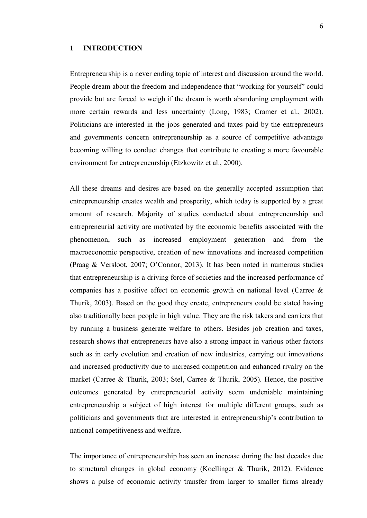### <span id="page-5-0"></span>**1 INTRODUCTION**

Entrepreneurship is a never ending topic of interest and discussion around the world. People dream about the freedom and independence that "working for yourself" could provide but are forced to weigh if the dream is worth abandoning employment with more certain rewards and less uncertainty (Long, 1983; Cramer et al., 2002). Politicians are interested in the jobs generated and taxes paid by the entrepreneurs and governments concern entrepreneurship as a source of competitive advantage becoming willing to conduct changes that contribute to creating a more favourable environment for entrepreneurship (Etzkowitz et al., 2000).

All these dreams and desires are based on the generally accepted assumption that entrepreneurship creates wealth and prosperity, which today is supported by a great amount of research. Majority of studies conducted about entrepreneurship and entrepreneurial activity are motivated by the economic benefits associated with the phenomenon, such as increased employment generation and from the macroeconomic perspective, creation of new innovations and increased competition (Praag & Versloot, 2007; O'Connor, 2013). It has been noted in numerous studies that entrepreneurship is a driving force of societies and the increased performance of companies has a positive effect on economic growth on national level (Carree & Thurik, 2003). Based on the good they create, entrepreneurs could be stated having also traditionally been people in high value. They are the risk takers and carriers that by running a business generate welfare to others. Besides job creation and taxes, research shows that entrepreneurs have also a strong impact in various other factors such as in early evolution and creation of new industries, carrying out innovations and increased productivity due to increased competition and enhanced rivalry on the market (Carree & Thurik, 2003; Stel, Carree & Thurik, 2005). Hence, the positive outcomes generated by entrepreneurial activity seem undeniable maintaining entrepreneurship a subject of high interest for multiple different groups, such as politicians and governments that are interested in entrepreneurship's contribution to national competitiveness and welfare.

The importance of entrepreneurship has seen an increase during the last decades due to structural changes in global economy (Koellinger & Thurik, 2012). Evidence shows a pulse of economic activity transfer from larger to smaller firms already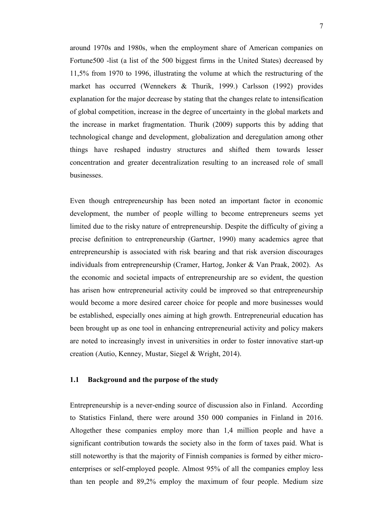around 1970s and 1980s, when the employment share of American companies on Fortune 500 -list (a list of the 500 biggest firms in the United States) decreased by 11,5% from 1970 to 1996, illustrating the volume at which the restructuring of the market has occurred (Wennekers & Thurik, 1999.) Carlsson (1992) provides explanation for the major decrease by stating that the changes relate to intensification of global competition, increase in the degree of uncertainty in the global markets and the increase in market fragmentation. Thurik (2009) supports this by adding that technological change and development, globalization and deregulation among other things have reshaped industry structures and shifted them towards lesser concentration and greater decentralization resulting to an increased role of small businesses.

Even though entrepreneurship has been noted an important factor in economic development, the number of people willing to become entrepreneurs seems yet limited due to the risky nature of entrepreneurship. Despite the difficulty of giving a precise definition to entrepreneurship (Gartner, 1990) many academics agree that entrepreneurship is associated with risk bearing and that risk aversion discourages individuals from entrepreneurship (Cramer, Hartog, Jonker & Van Praak, 2002). As the economic and societal impacts of entrepreneurship are so evident, the question has arisen how entrepreneurial activity could be improved so that entrepreneurship would become a more desired career choice for people and more businesses would be established, especially ones aiming at high growth. Entrepreneurial education has been brought up as one tool in enhancing entrepreneurial activity and policy makers are noted to increasingly invest in universities in order to foster innovative start-up creation (Autio, Kenney, Mustar, Siegel & Wright, 2014).

### <span id="page-6-0"></span>**1.1 Background and the purpose of the study**

Entrepreneurship is a never-ending source of discussion also in Finland. According to Statistics Finland, there were around 350 000 companies in Finland in 2016. Altogether these companies employ more than 1,4 million people and have a significant contribution towards the society also in the form of taxes paid. What is still noteworthy is that the majority of Finnish companies is formed by either microenterprises or self-employed people. Almost 95% of all the companies employ less than ten people and 89,2% employ the maximum of four people. Medium size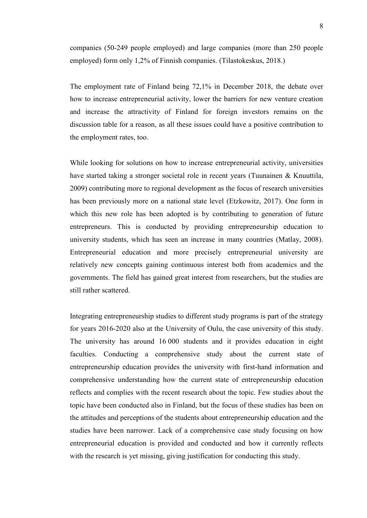companies (50-249 people employed) and large companies (more than 250 people employed) form only 1,2% of Finnish companies. (Tilastokeskus, 2018.)

The employment rate of Finland being 72,1% in December 2018, the debate over how to increase entrepreneurial activity, lower the barriers for new venture creation and increase the attractivity of Finland for foreign investors remains on the discussion table for a reason, as all these issues could have a positive contribution to the employment rates, too.

While looking for solutions on how to increase entrepreneurial activity, universities have started taking a stronger societal role in recent years (Tuunainen & Knuuttila, 2009) contributing more to regional development as the focus of research universities has been previously more on a national state level (Etzkowitz, 2017). One form in which this new role has been adopted is by contributing to generation of future entrepreneurs. This is conducted by providing entrepreneurship education to university students, which has seen an increase in many countries (Matlay, 2008). Entrepreneurial education and more precisely entrepreneurial university are relatively new concepts gaining continuous interest both from academics and the governments. The field has gained great interest from researchers, but the studies are still rather scattered.

Integrating entrepreneurship studies to different study programs is part of the strategy for years 2016-2020 also at the University of Oulu, the case university of this study. The university has around 16 000 students and it provides education in eight faculties. Conducting a comprehensive study about the current state of entrepreneurship education provides the university with first-hand information and comprehensive understanding how the current state of entrepreneurship education reflects and complies with the recent research about the topic. Few studies about the topic have been conducted also in Finland, but the focus of these studies has been on the attitudes and perceptions of the students about entrepreneurship education and the studies have been narrower. Lack of a comprehensive case study focusing on how entrepreneurial education is provided and conducted and how it currently reflects with the research is yet missing, giving justification for conducting this study.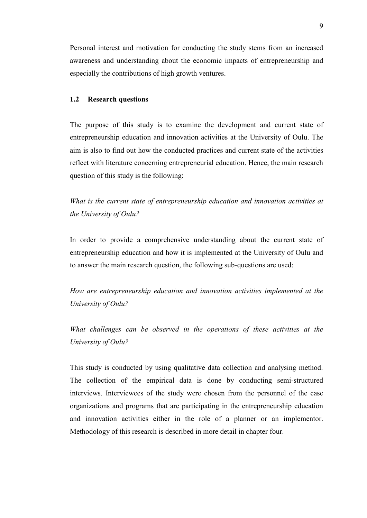Personal interest and motivation for conducting the study stems from an increased awareness and understanding about the economic impacts of entrepreneurship and especially the contributions of high growth ventures.

### <span id="page-8-0"></span>**1.2 Research questions**

The purpose of this study is to examine the development and current state of entrepreneurship education and innovation activities at the University of Oulu. The aim is also to find out how the conducted practices and current state of the activities reflect with literature concerning entrepreneurial education. Hence, the main research question of this study is the following:

*What is the current state of entrepreneurship education and innovation activities at the University of Oulu?*

In order to provide a comprehensive understanding about the current state of entrepreneurship education and how it is implemented at the University of Oulu and to answer the main research question, the following sub-questions are used:

*How are entrepreneurship education and innovation activities implemented at the University of Oulu?*

*What challenges can be observed in the operations of these activities at the University of Oulu?*

This study is conducted by using qualitative data collection and analysing method. The collection of the empirical data is done by conducting semi-structured interviews. Interviewees of the study were chosen from the personnel of the case organizations and programs that are participating in the entrepreneurship education and innovation activities either in the role of a planner or an implementor. Methodology of this research is described in more detail in chapter four.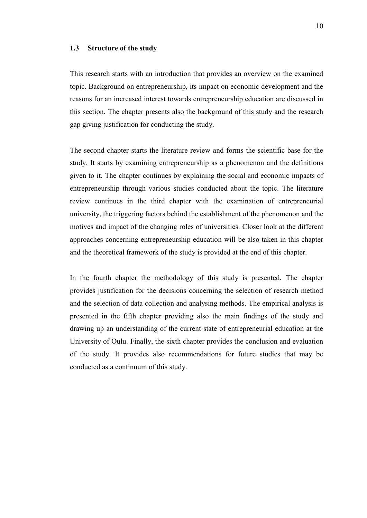### <span id="page-9-0"></span>**1.3 Structure of the study**

This research starts with an introduction that provides an overview on the examined topic. Background on entrepreneurship, its impact on economic development and the reasons for an increased interest towards entrepreneurship education are discussed in this section. The chapter presents also the background of this study and the research gap giving justification for conducting the study.

The second chapter starts the literature review and forms the scientific base for the study. It starts by examining entrepreneurship as a phenomenon and the definitions given to it. The chapter continues by explaining the social and economic impacts of entrepreneurship through various studies conducted about the topic. The literature review continues in the third chapter with the examination of entrepreneurial university, the triggering factors behind the establishment of the phenomenon and the motives and impact of the changing roles of universities. Closer look at the different approaches concerning entrepreneurship education will be also taken in this chapter and the theoretical framework of the study is provided at the end of this chapter.

In the fourth chapter the methodology of this study is presented. The chapter provides justification for the decisions concerning the selection of research method and the selection of data collection and analysing methods. The empirical analysis is presented in the fifth chapter providing also the main findings of the study and drawing up an understanding of the current state of entrepreneurial education at the University of Oulu. Finally, the sixth chapter provides the conclusion and evaluation of the study. It provides also recommendations for future studies that may be conducted as a continuum of this study.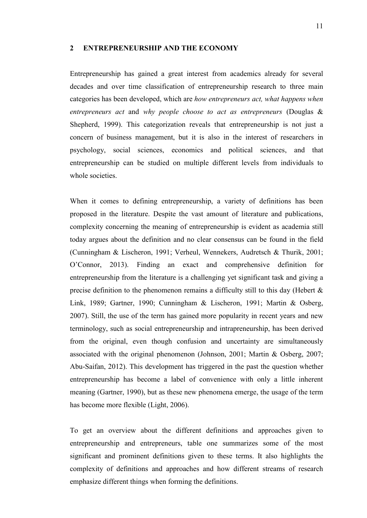#### <span id="page-10-0"></span>**2 ENTREPRENEURSHIP AND THE ECONOMY**

Entrepreneurship has gained a great interest from academics already for several decades and over time classification of entrepreneurship research to three main categories has been developed, which are *how entrepreneurs act, what happens when entrepreneurs act* and *why people choose to act as entrepreneurs* (Douglas & Shepherd, 1999). This categorization reveals that entrepreneurship is not just a concern of business management, but it is also in the interest of researchers in psychology, social sciences, economics and political sciences, and that entrepreneurship can be studied on multiple different levels from individuals to whole societies.

When it comes to defining entrepreneurship, a variety of definitions has been proposed in the literature. Despite the vast amount of literature and publications, complexity concerning the meaning of entrepreneurship is evident as academia still today argues about the definition and no clear consensus can be found in the field (Cunningham & Lischeron, 1991; Verheul, Wennekers, Audretsch & Thurik, 2001; O'Connor, 2013). Finding an exact and comprehensive definition for entrepreneurship from the literature is a challenging yet significant task and giving a precise definition to the phenomenon remains a difficulty still to this day (Hebert  $\&$ Link, 1989; Gartner, 1990; Cunningham & Lischeron, 1991; Martin & Osberg, 2007). Still, the use of the term has gained more popularity in recent years and new terminology, such as social entrepreneurship and intrapreneurship, has been derived from the original, even though confusion and uncertainty are simultaneously associated with the original phenomenon (Johnson, 2001; Martin & Osberg, 2007; Abu-Saifan, 2012). This development has triggered in the past the question whether entrepreneurship has become a label of convenience with only a little inherent meaning (Gartner, 1990), but as these new phenomena emerge, the usage of the term has become more flexible (Light, 2006).

To get an overview about the different definitions and approaches given to entrepreneurship and entrepreneurs, table one summarizes some of the most significant and prominent definitions given to these terms. It also highlights the complexity of definitions and approaches and how different streams of research emphasize different things when forming the definitions.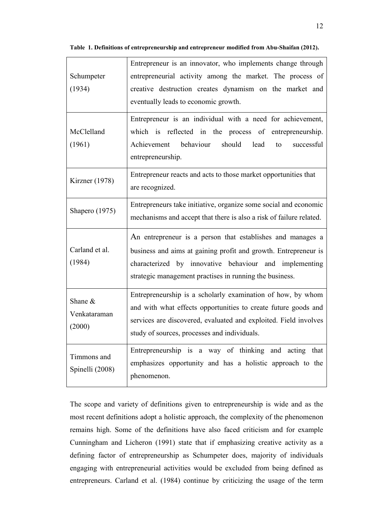| Schumpeter<br>(1934)              | Entrepreneur is an innovator, who implements change through<br>entrepreneurial activity among the market. The process of<br>creative destruction creates dynamism on the market and<br>eventually leads to economic growth.                        |  |  |
|-----------------------------------|----------------------------------------------------------------------------------------------------------------------------------------------------------------------------------------------------------------------------------------------------|--|--|
| McClelland<br>(1961)              | Entrepreneur is an individual with a need for achievement,<br>which is reflected in the process of entrepreneurship.<br>behaviour<br>should<br>lead<br>Achievement<br>successful<br>to<br>entrepreneurship.                                        |  |  |
| Kirzner (1978)                    | Entrepreneur reacts and acts to those market opportunities that<br>are recognized.                                                                                                                                                                 |  |  |
| Shapero (1975)                    | Entrepreneurs take initiative, organize some social and economic<br>mechanisms and accept that there is also a risk of failure related.                                                                                                            |  |  |
| Carland et al.<br>(1984)          | An entrepreneur is a person that establishes and manages a<br>business and aims at gaining profit and growth. Entrepreneur is<br>characterized by innovative behaviour and implementing<br>strategic management practises in running the business. |  |  |
| Shane &<br>Venkataraman<br>(2000) | Entrepreneurship is a scholarly examination of how, by whom<br>and with what effects opportunities to create future goods and<br>services are discovered, evaluated and exploited. Field involves<br>study of sources, processes and individuals.  |  |  |
| Timmons and<br>Spinelli (2008)    | Entrepreneurship is a way of thinking and acting that<br>emphasizes opportunity and has a holistic approach to the<br>phenomenon.                                                                                                                  |  |  |

**Table 1. Definitions of entrepreneurship and entrepreneur modified from Abu-Shaifan (2012).**

The scope and variety of definitions given to entrepreneurship is wide and as the most recent definitions adopt a holistic approach, the complexity of the phenomenon remains high. Some of the definitions have also faced criticism and for example Cunningham and Licheron (1991) state that if emphasizing creative activity as a defining factor of entrepreneurship as Schumpeter does, majority of individuals engaging with entrepreneurial activities would be excluded from being defined as entrepreneurs. Carland et al. (1984) continue by criticizing the usage of the term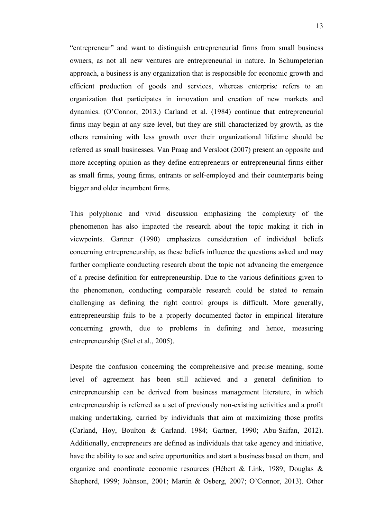"entrepreneur" and want to distinguish entrepreneurial firms from small business owners, as not all new ventures are entrepreneurial in nature. In Schumpeterian approach, a business is any organization that is responsible for economic growth and efficient production of goods and services, whereas enterprise refers to an organization that participates in innovation and creation of new markets and dynamics. (O'Connor, 2013.) Carland et al. (1984) continue that entrepreneurial firms may begin at any size level, but they are still characterized by growth, as the others remaining with less growth over their organizational lifetime should be referred as small businesses. Van Praag and Versloot (2007) present an opposite and more accepting opinion as they define entrepreneurs or entrepreneurial firms either as small firms, young firms, entrants or self-employed and their counterparts being bigger and older incumbent firms.

This polyphonic and vivid discussion emphasizing the complexity of the phenomenon has also impacted the research about the topic making it rich in viewpoints. Gartner (1990) emphasizes consideration of individual beliefs concerning entrepreneurship, as these beliefs influence the questions asked and may further complicate conducting research about the topic not advancing the emergence of a precise definition for entrepreneurship. Due to the various definitions given to the phenomenon, conducting comparable research could be stated to remain challenging as defining the right control groups is difficult. More generally, entrepreneurship fails to be a properly documented factor in empirical literature concerning growth, due to problems in defining and hence, measuring entrepreneurship (Stel et al., 2005).

Despite the confusion concerning the comprehensive and precise meaning, some level of agreement has been still achieved and a general definition to entrepreneurship can be derived from business management literature, in which entrepreneurship is referred as a set of previously non-existing activities and a profit making undertaking, carried by individuals that aim at maximizing those profits (Carland, Hoy, Boulton & Carland. 1984; Gartner, 1990; Abu-Saifan, 2012). Additionally, entrepreneurs are defined as individuals that take agency and initiative, have the ability to see and seize opportunities and start a business based on them, and organize and coordinate economic resources (Hébert & Link, 1989; Douglas & Shepherd, 1999; Johnson, 2001; Martin & Osberg, 2007; O'Connor, 2013). Other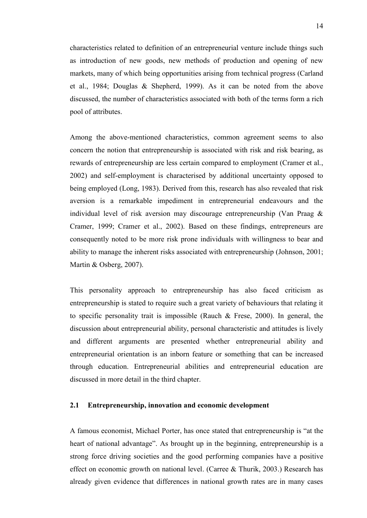characteristics related to definition of an entrepreneurial venture include things such as introduction of new goods, new methods of production and opening of new markets, many of which being opportunities arising from technical progress (Carland et al., 1984; Douglas & Shepherd, 1999). As it can be noted from the above discussed, the number of characteristics associated with both of the terms form a rich pool of attributes.

Among the above-mentioned characteristics, common agreement seems to also concern the notion that entrepreneurship is associated with risk and risk bearing, as rewards of entrepreneurship are less certain compared to employment (Cramer et al., 2002) and self-employment is characterised by additional uncertainty opposed to being employed (Long, 1983). Derived from this, research has also revealed that risk aversion is a remarkable impediment in entrepreneurial endeavours and the individual level of risk aversion may discourage entrepreneurship (Van Praag & Cramer, 1999; Cramer et al., 2002). Based on these findings, entrepreneurs are consequently noted to be more risk prone individuals with willingness to bear and ability to manage the inherent risks associated with entrepreneurship (Johnson, 2001; Martin & Osberg, 2007).

This personality approach to entrepreneurship has also faced criticism as entrepreneurship is stated to require such a great variety of behaviours that relating it to specific personality trait is impossible (Rauch  $\&$  Frese, 2000). In general, the discussion about entrepreneurial ability, personal characteristic and attitudes is lively and different arguments are presented whether entrepreneurial ability and entrepreneurial orientation is an inborn feature or something that can be increased through education. Entrepreneurial abilities and entrepreneurial education are discussed in more detail in the third chapter.

### <span id="page-13-0"></span>**2.1 Entrepreneurship, innovation and economic development**

A famous economist, Michael Porter, has once stated that entrepreneurship is "at the heart of national advantage". As brought up in the beginning, entrepreneurship is a strong force driving societies and the good performing companies have a positive effect on economic growth on national level. (Carree & Thurik, 2003.) Research has already given evidence that differences in national growth rates are in many cases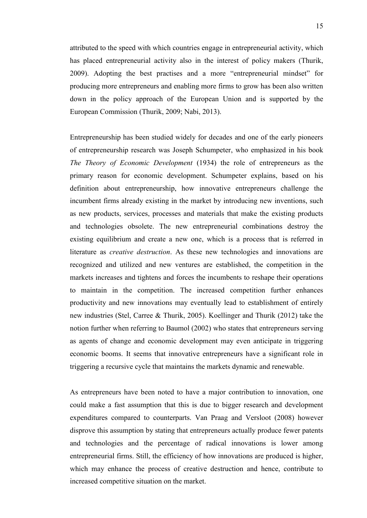attributed to the speed with which countries engage in entrepreneurial activity, which has placed entrepreneurial activity also in the interest of policy makers (Thurik, 2009). Adopting the best practises and a more "entrepreneurial mindset" for producing more entrepreneurs and enabling more firms to grow has been also written down in the policy approach of the European Union and is supported by the European Commission (Thurik, 2009; Nabi, 2013).

Entrepreneurship has been studied widely for decades and one of the early pioneers of entrepreneurship research was Joseph Schumpeter, who emphasized in his book *The Theory of Economic Development* (1934) the role of entrepreneurs as the primary reason for economic development. Schumpeter explains, based on his definition about entrepreneurship, how innovative entrepreneurs challenge the incumbent firms already existing in the market by introducing new inventions, such as new products, services, processes and materials that make the existing products and technologies obsolete. The new entrepreneurial combinations destroy the existing equilibrium and create a new one, which is a process that is referred in literature as *creative destruction*. As these new technologies and innovations are recognized and utilized and new ventures are established, the competition in the markets increases and tightens and forces the incumbents to reshape their operations to maintain in the competition. The increased competition further enhances productivity and new innovations may eventually lead to establishment of entirely new industries (Stel, Carree & Thurik, 2005). Koellinger and Thurik (2012) take the notion further when referring to Baumol (2002) who states that entrepreneurs serving as agents of change and economic development may even anticipate in triggering economic booms. It seems that innovative entrepreneurs have a significant role in triggering a recursive cycle that maintains the markets dynamic and renewable.

As entrepreneurs have been noted to have a major contribution to innovation, one could make a fast assumption that this is due to bigger research and development expenditures compared to counterparts. Van Praag and Versloot (2008) however disprove this assumption by stating that entrepreneurs actually produce fewer patents and technologies and the percentage of radical innovations is lower among entrepreneurial firms. Still, the efficiency of how innovations are produced is higher, which may enhance the process of creative destruction and hence, contribute to increased competitive situation on the market.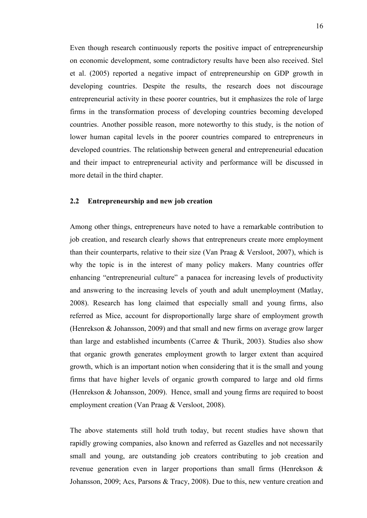Even though research continuously reports the positive impact of entrepreneurship on economic development, some contradictory results have been also received. Stel et al. (2005) reported a negative impact of entrepreneurship on GDP growth in developing countries. Despite the results, the research does not discourage entrepreneurial activity in these poorer countries, but it emphasizes the role of large firms in the transformation process of developing countries becoming developed countries. Another possible reason, more noteworthy to this study, is the notion of lower human capital levels in the poorer countries compared to entrepreneurs in developed countries. The relationship between general and entrepreneurial education and their impact to entrepreneurial activity and performance will be discussed in more detail in the third chapter.

### <span id="page-15-0"></span>**2.2 Entrepreneurship and new job creation**

Among other things, entrepreneurs have noted to have a remarkable contribution to job creation, and research clearly shows that entrepreneurs create more employment than their counterparts, relative to their size (Van Praag & Versloot, 2007), which is why the topic is in the interest of many policy makers. Many countries offer enhancing "entrepreneurial culture" a panacea for increasing levels of productivity and answering to the increasing levels of youth and adult unemployment (Matlay, 2008). Research has long claimed that especially small and young firms, also referred as Mice, account for disproportionally large share of employment growth (Henrekson & Johansson, 2009) and that small and new firms on average grow larger than large and established incumbents (Carree & Thurik, 2003). Studies also show that organic growth generates employment growth to larger extent than acquired growth, which is an important notion when considering that it is the small and young firms that have higher levels of organic growth compared to large and old firms (Henrekson & Johansson, 2009). Hence, small and young firms are required to boost employment creation (Van Praag & Versloot, 2008).

The above statements still hold truth today, but recent studies have shown that rapidly growing companies, also known and referred as Gazelles and not necessarily small and young, are outstanding job creators contributing to job creation and revenue generation even in larger proportions than small firms (Henrekson & Johansson, 2009; Acs, Parsons & Tracy, 2008). Due to this, new venture creation and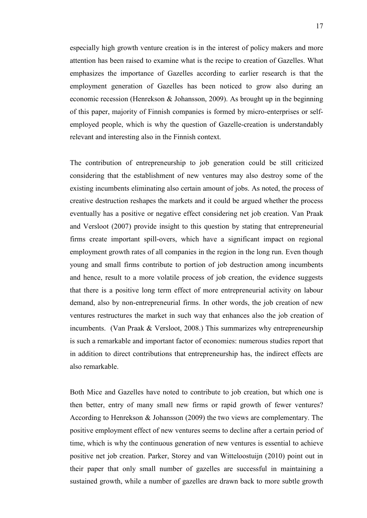especially high growth venture creation is in the interest of policy makers and more attention has been raised to examine what is the recipe to creation of Gazelles. What emphasizes the importance of Gazelles according to earlier research is that the employment generation of Gazelles has been noticed to grow also during an economic recession (Henrekson & Johansson, 2009). As brought up in the beginning of this paper, majority of Finnish companies is formed by micro-enterprises or selfemployed people, which is why the question of Gazelle-creation is understandably relevant and interesting also in the Finnish context.

The contribution of entrepreneurship to job generation could be still criticized considering that the establishment of new ventures may also destroy some of the existing incumbents eliminating also certain amount of jobs. As noted, the process of creative destruction reshapes the markets and it could be argued whether the process eventually has a positive or negative effect considering net job creation. Van Praak and Versloot (2007) provide insight to this question by stating that entrepreneurial firms create important spill-overs, which have a significant impact on regional employment growth rates of all companies in the region in the long run. Even though young and small firms contribute to portion of job destruction among incumbents and hence, result to a more volatile process of job creation, the evidence suggests that there is a positive long term effect of more entrepreneurial activity on labour demand, also by non-entrepreneurial firms. In other words, the job creation of new ventures restructures the market in such way that enhances also the job creation of incumbents. (Van Praak & Versloot, 2008.) This summarizes why entrepreneurship is such a remarkable and important factor of economies: numerous studies report that in addition to direct contributions that entrepreneurship has, the indirect effects are also remarkable.

Both Mice and Gazelles have noted to contribute to job creation, but which one is then better, entry of many small new firms or rapid growth of fewer ventures? According to Henrekson & Johansson (2009) the two views are complementary. The positive employment effect of new ventures seems to decline after a certain period of time, which is why the continuous generation of new ventures is essential to achieve positive net job creation. Parker, Storey and van Witteloostuijn (2010) point out in their paper that only small number of gazelles are successful in maintaining a sustained growth, while a number of gazelles are drawn back to more subtle growth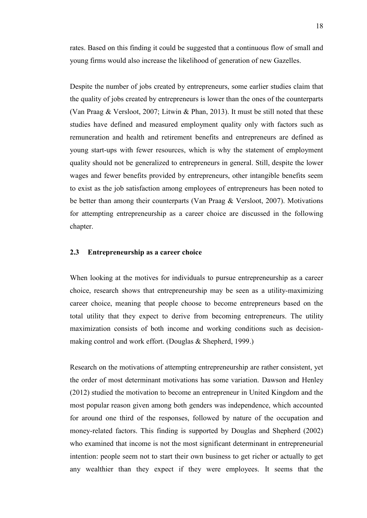rates. Based on this finding it could be suggested that a continuous flow of small and young firms would also increase the likelihood of generation of new Gazelles.

Despite the number of jobs created by entrepreneurs, some earlier studies claim that the quality of jobs created by entrepreneurs is lower than the ones of the counterparts (Van Praag & Versloot, 2007; Litwin & Phan, 2013). It must be still noted that these studies have defined and measured employment quality only with factors such as remuneration and health and retirement benefits and entrepreneurs are defined as young start-ups with fewer resources, which is why the statement of employment quality should not be generalized to entrepreneurs in general. Still, despite the lower wages and fewer benefits provided by entrepreneurs, other intangible benefits seem to exist as the job satisfaction among employees of entrepreneurs has been noted to be better than among their counterparts (Van Praag & Versloot, 2007). Motivations for attempting entrepreneurship as a career choice are discussed in the following chapter.

### <span id="page-17-0"></span>**2.3 Entrepreneurship as a career choice**

When looking at the motives for individuals to pursue entrepreneurship as a career choice, research shows that entrepreneurship may be seen as a utility-maximizing career choice, meaning that people choose to become entrepreneurs based on the total utility that they expect to derive from becoming entrepreneurs. The utility maximization consists of both income and working conditions such as decisionmaking control and work effort. (Douglas & Shepherd, 1999.)

Research on the motivations of attempting entrepreneurship are rather consistent, yet the order of most determinant motivations has some variation. Dawson and Henley (2012) studied the motivation to become an entrepreneur in United Kingdom and the most popular reason given among both genders was independence, which accounted for around one third of the responses, followed by nature of the occupation and money-related factors. This finding is supported by Douglas and Shepherd (2002) who examined that income is not the most significant determinant in entrepreneurial intention: people seem not to start their own business to get richer or actually to get any wealthier than they expect if they were employees. It seems that the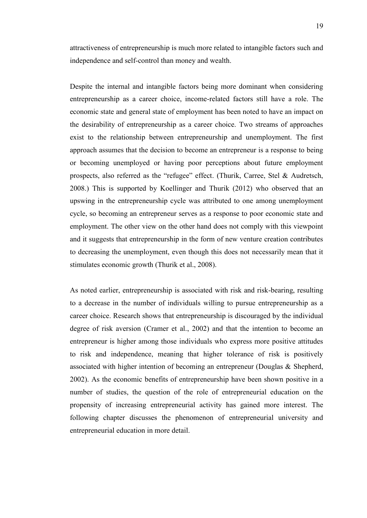attractiveness of entrepreneurship is much more related to intangible factors such and independence and self-control than money and wealth.

Despite the internal and intangible factors being more dominant when considering entrepreneurship as a career choice, income-related factors still have a role. The economic state and general state of employment has been noted to have an impact on the desirability of entrepreneurship as a career choice. Two streams of approaches exist to the relationship between entrepreneurship and unemployment. The first approach assumes that the decision to become an entrepreneur is a response to being or becoming unemployed or having poor perceptions about future employment prospects, also referred as the "refugee" effect. (Thurik, Carree, Stel & Audretsch, 2008.) This is supported by Koellinger and Thurik (2012) who observed that an upswing in the entrepreneurship cycle was attributed to one among unemployment cycle, so becoming an entrepreneur serves as a response to poor economic state and employment. The other view on the other hand does not comply with this viewpoint and it suggests that entrepreneurship in the form of new venture creation contributes to decreasing the unemployment, even though this does not necessarily mean that it stimulates economic growth (Thurik et al., 2008).

As noted earlier, entrepreneurship is associated with risk and risk-bearing, resulting to a decrease in the number of individuals willing to pursue entrepreneurship as a career choice. Research shows that entrepreneurship is discouraged by the individual degree of risk aversion (Cramer et al., 2002) and that the intention to become an entrepreneur is higher among those individuals who express more positive attitudes to risk and independence, meaning that higher tolerance of risk is positively associated with higher intention of becoming an entrepreneur (Douglas & Shepherd, 2002). As the economic benefits of entrepreneurship have been shown positive in a number of studies, the question of the role of entrepreneurial education on the propensity of increasing entrepreneurial activity has gained more interest. The following chapter discusses the phenomenon of entrepreneurial university and entrepreneurial education in more detail.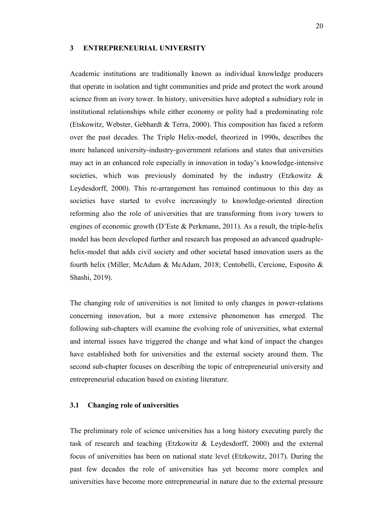### <span id="page-19-0"></span>**3 ENTREPRENEURIAL UNIVERSITY**

Academic institutions are traditionally known as individual knowledge producers that operate in isolation and tight communities and pride and protect the work around science from an ivory tower. In history, universities have adopted a subsidiary role in institutional relationships while either economy or polity had a predominating role (Etskowitz, Webster, Gebhardt & Terra, 2000). This composition has faced a reform over the past decades. The Triple Helix-model, theorized in 1990s, describes the more balanced university-industry-government relations and states that universities may act in an enhanced role especially in innovation in today's knowledge-intensive societies, which was previously dominated by the industry (Etzkowitz & Leydesdorff, 2000). This re-arrangement has remained continuous to this day as societies have started to evolve increasingly to knowledge-oriented direction reforming also the role of universities that are transforming from ivory towers to engines of economic growth (D'Este & Perkmann, 2011). As a result, the triple-helix model has been developed further and research has proposed an advanced quadruplehelix-model that adds civil society and other societal based innovation users as the fourth helix (Miller, McAdam & McAdam, 2018; Centobelli, Cercione, Esposito & Shashi, 2019).

The changing role of universities is not limited to only changes in power-relations concerning innovation, but a more extensive phenomenon has emerged. The following sub-chapters will examine the evolving role of universities, what external and internal issues have triggered the change and what kind of impact the changes have established both for universities and the external society around them. The second sub-chapter focuses on describing the topic of entrepreneurial university and entrepreneurial education based on existing literature.

### <span id="page-19-1"></span>**3.1 Changing role of universities**

The preliminary role of science universities has a long history executing purely the task of research and teaching (Etzkowitz & Leydesdorff, 2000) and the external focus of universities has been on national state level (Etzkowitz, 2017). During the past few decades the role of universities has yet become more complex and universities have become more entrepreneurial in nature due to the external pressure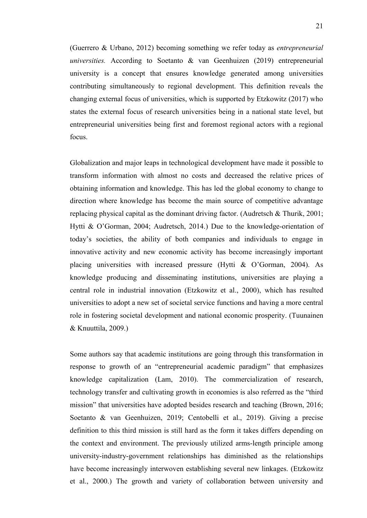(Guerrero & Urbano, 2012) becoming something we refer today as *entrepreneurial universities.* According to Soetanto & van Geenhuizen (2019) entrepreneurial university is a concept that ensures knowledge generated among universities contributing simultaneously to regional development. This definition reveals the changing external focus of universities, which is supported by Etzkowitz (2017) who states the external focus of research universities being in a national state level, but entrepreneurial universities being first and foremost regional actors with a regional focus.

Globalization and major leaps in technological development have made it possible to transform information with almost no costs and decreased the relative prices of obtaining information and knowledge. This has led the global economy to change to direction where knowledge has become the main source of competitive advantage replacing physical capital as the dominant driving factor. (Audretsch & Thurik, 2001; Hytti & O'Gorman, 2004; Audretsch, 2014.) Due to the knowledge-orientation of today's societies, the ability of both companies and individuals to engage in innovative activity and new economic activity has become increasingly important placing universities with increased pressure (Hytti & O'Gorman, 2004). As knowledge producing and disseminating institutions, universities are playing a central role in industrial innovation (Etzkowitz et al., 2000), which has resulted universities to adopt a new set of societal service functions and having a more central role in fostering societal development and national economic prosperity. (Tuunainen & Knuuttila, 2009.)

Some authors say that academic institutions are going through this transformation in response to growth of an "entrepreneurial academic paradigm" that emphasizes knowledge capitalization (Lam, 2010). The commercialization of research, technology transfer and cultivating growth in economies is also referred as the "third mission" that universities have adopted besides research and teaching (Brown, 2016; Soetanto & van Geenhuizen, 2019; Centobelli et al., 2019). Giving a precise definition to this third mission is still hard as the form it takes differs depending on the context and environment. The previously utilized arms-length principle among university-industry-government relationships has diminished as the relationships have become increasingly interwoven establishing several new linkages. (Etzkowitz et al., 2000.) The growth and variety of collaboration between university and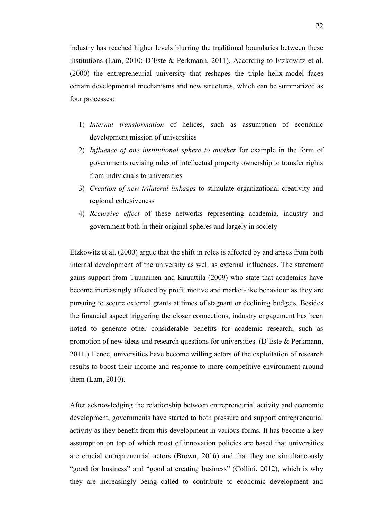industry has reached higher levels blurring the traditional boundaries between these institutions (Lam, 2010; D'Este & Perkmann, 2011). According to Etzkowitz et al. (2000) the entrepreneurial university that reshapes the triple helix-model faces certain developmental mechanisms and new structures, which can be summarized as four processes:

- 1) *Internal transformation* of helices, such as assumption of economic development mission of universities
- 2) *Influence of one institutional sphere to another* for example in the form of governments revising rules of intellectual property ownership to transfer rights from individuals to universities
- 3) *Creation of new trilateral linkages* to stimulate organizational creativity and regional cohesiveness
- 4) *Recursive effect* of these networks representing academia, industry and government both in their original spheres and largely in society

Etzkowitz et al. (2000) argue that the shift in roles is affected by and arises from both internal development of the university as well as external influences. The statement gains support from Tuunainen and Knuuttila (2009) who state that academics have become increasingly affected by profit motive and market-like behaviour as they are pursuing to secure external grants at times of stagnant or declining budgets. Besides the financial aspect triggering the closer connections, industry engagement has been noted to generate other considerable benefits for academic research, such as promotion of new ideas and research questions for universities. (D'Este & Perkmann, 2011.) Hence, universities have become willing actors of the exploitation of research results to boost their income and response to more competitive environment around them (Lam, 2010).

After acknowledging the relationship between entrepreneurial activity and economic development, governments have started to both pressure and support entrepreneurial activity as they benefit from this development in various forms. It has become a key assumption on top of which most of innovation policies are based that universities are crucial entrepreneurial actors (Brown, 2016) and that they are simultaneously "good for business" and "good at creating business" (Collini, 2012), which is why they are increasingly being called to contribute to economic development and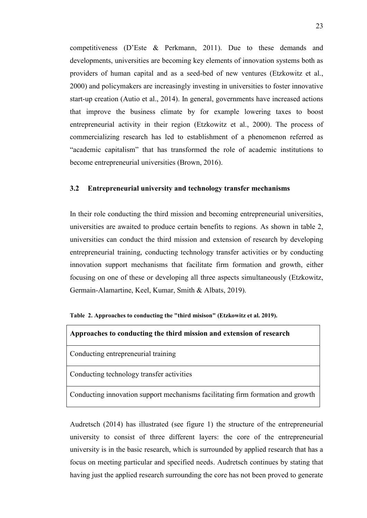competitiveness (D'Este & Perkmann, 2011). Due to these demands and developments, universities are becoming key elements of innovation systems both as providers of human capital and as a seed-bed of new ventures (Etzkowitz et al., 2000) and policymakers are increasingly investing in universities to foster innovative start-up creation (Autio et al., 2014). In general, governments have increased actions that improve the business climate by for example lowering taxes to boost entrepreneurial activity in their region (Etzkowitz et al., 2000). The process of commercializing research has led to establishment of a phenomenon referred as "academic capitalism" that has transformed the role of academic institutions to become entrepreneurial universities (Brown, 2016).

### <span id="page-22-0"></span>**3.2 Entrepreneurial university and technology transfer mechanisms**

In their role conducting the third mission and becoming entrepreneurial universities, universities are awaited to produce certain benefits to regions. As shown in table 2, universities can conduct the third mission and extension of research by developing entrepreneurial training, conducting technology transfer activities or by conducting innovation support mechanisms that facilitate firm formation and growth, either focusing on one of these or developing all three aspects simultaneously (Etzkowitz, Germain-Alamartine, Keel, Kumar, Smith & Albats, 2019).

|  |  |  |  |  | Table 2. Approaches to conducting the "third misison" (Etzkowitz et al. 2019). |  |
|--|--|--|--|--|--------------------------------------------------------------------------------|--|
|--|--|--|--|--|--------------------------------------------------------------------------------|--|

| Approaches to conducting the third mission and extension of research            |
|---------------------------------------------------------------------------------|
| Conducting entrepreneurial training                                             |
| Conducting technology transfer activities                                       |
| Conducting innovation support mechanisms facilitating firm formation and growth |

Audretsch (2014) has illustrated (see figure 1) the structure of the entrepreneurial university to consist of three different layers: the core of the entrepreneurial university is in the basic research, which is surrounded by applied research that has a focus on meeting particular and specified needs. Audretsch continues by stating that having just the applied research surrounding the core has not been proved to generate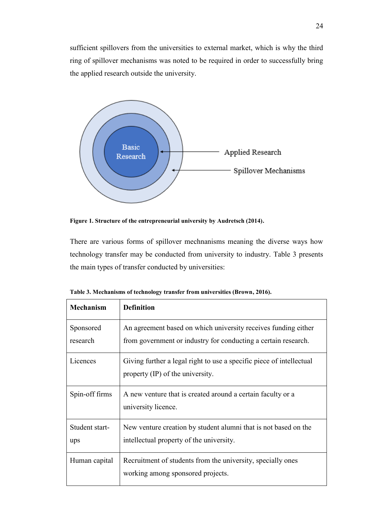sufficient spillovers from the universities to external market, which is why the third ring of spillover mechanisms was noted to be required in order to successfully bring the applied research outside the university.



**Figure 1. Structure of the entrepreneurial university by Audretsch (2014).**

There are various forms of spillover mechnanisms meaning the diverse ways how technology transfer may be conducted from university to industry. Table 3 presents the main types of transfer conducted by universities:

| <b>Mechanism</b>      | <b>Definition</b>                                                                                                                |
|-----------------------|----------------------------------------------------------------------------------------------------------------------------------|
| Sponsored<br>research | An agreement based on which university receives funding either<br>from government or industry for conducting a certain research. |
| Licences              | Giving further a legal right to use a specific piece of intellectual<br>property (IP) of the university.                         |
| Spin-off firms        | A new venture that is created around a certain faculty or a<br>university licence.                                               |
| Student start-<br>ups | New venture creation by student alumni that is not based on the<br>intellectual property of the university.                      |
| Human capital         | Recruitment of students from the university, specially ones<br>working among sponsored projects.                                 |

**Table 3. Mechanisms of technology transfer from universities (Brown, 2016).**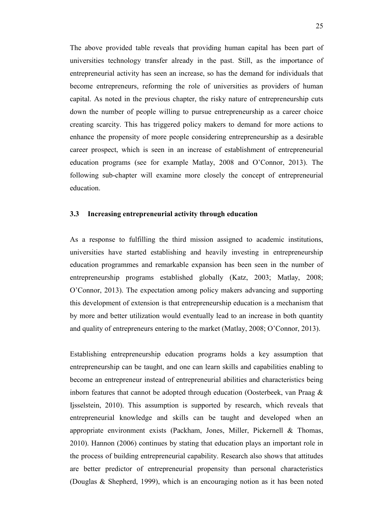The above provided table reveals that providing human capital has been part of universities technology transfer already in the past. Still, as the importance of entrepreneurial activity has seen an increase, so has the demand for individuals that become entrepreneurs, reforming the role of universities as providers of human capital. As noted in the previous chapter, the risky nature of entrepreneurship cuts down the number of people willing to pursue entrepreneurship as a career choice creating scarcity. This has triggered policy makers to demand for more actions to enhance the propensity of more people considering entrepreneurship as a desirable career prospect, which is seen in an increase of establishment of entrepreneurial education programs (see for example Matlay, 2008 and O'Connor, 2013). The following sub-chapter will examine more closely the concept of entrepreneurial education.

### <span id="page-24-0"></span>**3.3 Increasing entrepreneurial activity through education**

As a response to fulfilling the third mission assigned to academic institutions, universities have started establishing and heavily investing in entrepreneurship education programmes and remarkable expansion has been seen in the number of entrepreneurship programs established globally (Katz, 2003; Matlay, 2008; O'Connor, 2013). The expectation among policy makers advancing and supporting this development of extension is that entrepreneurship education is a mechanism that by more and better utilization would eventually lead to an increase in both quantity and quality of entrepreneurs entering to the market (Matlay, 2008; O'Connor, 2013).

Establishing entrepreneurship education programs holds a key assumption that entrepreneurship can be taught, and one can learn skills and capabilities enabling to become an entrepreneur instead of entrepreneurial abilities and characteristics being inborn features that cannot be adopted through education (Oosterbeek, van Praag & Ijsselstein, 2010). This assumption is supported by research, which reveals that entrepreneurial knowledge and skills can be taught and developed when an appropriate environment exists (Packham, Jones, Miller, Pickernell & Thomas, 2010). Hannon (2006) continues by stating that education plays an important role in the process of building entrepreneurial capability. Research also shows that attitudes are better predictor of entrepreneurial propensity than personal characteristics (Douglas & Shepherd, 1999), which is an encouraging notion as it has been noted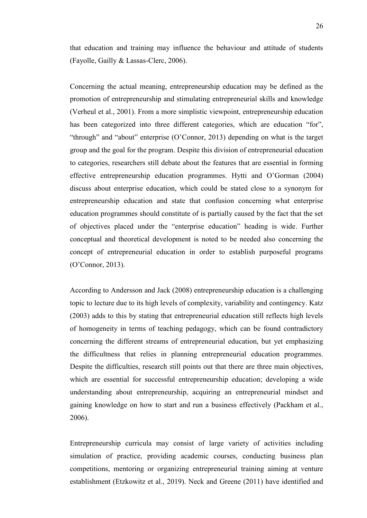that education and training may influence the behaviour and attitude of students (Fayolle, Gailly & Lassas-Clerc, 2006).

Concerning the actual meaning, entrepreneurship education may be defined as the promotion of entrepreneurship and stimulating entrepreneurial skills and knowledge (Verheul et al., 2001). From a more simplistic viewpoint, entrepreneurship education has been categorized into three different categories, which are education "for", "through" and "about" enterprise (O'Connor, 2013) depending on what is the target group and the goal for the program. Despite this division of entrepreneurial education to categories, researchers still debate about the features that are essential in forming effective entrepreneurship education programmes. Hytti and O'Gorman (2004) discuss about enterprise education, which could be stated close to a synonym for entrepreneurship education and state that confusion concerning what enterprise education programmes should constitute of is partially caused by the fact that the set of objectives placed under the "enterprise education" heading is wide. Further conceptual and theoretical development is noted to be needed also concerning the concept of entrepreneurial education in order to establish purposeful programs (O'Connor, 2013).

According to Andersson and Jack (2008) entrepreneurship education is a challenging topic to lecture due to its high levels of complexity, variability and contingency. Katz (2003) adds to this by stating that entrepreneurial education still reflects high levels of homogeneity in terms of teaching pedagogy, which can be found contradictory concerning the different streams of entrepreneurial education, but yet emphasizing the difficultness that relies in planning entrepreneurial education programmes. Despite the difficulties, research still points out that there are three main objectives, which are essential for successful entrepreneurship education; developing a wide understanding about entrepreneurship, acquiring an entrepreneurial mindset and gaining knowledge on how to start and run a business effectively (Packham et al., 2006).

Entrepreneurship curricula may consist of large variety of activities including simulation of practice, providing academic courses, conducting business plan competitions, mentoring or organizing entrepreneurial training aiming at venture establishment (Etzkowitz et al., 2019). Neck and Greene (2011) have identified and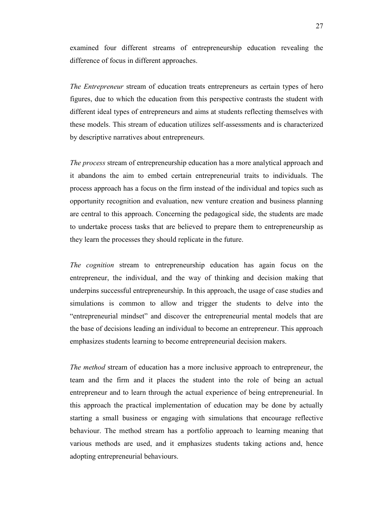examined four different streams of entrepreneurship education revealing the difference of focus in different approaches.

*The Entrepreneur* stream of education treats entrepreneurs as certain types of hero figures, due to which the education from this perspective contrasts the student with different ideal types of entrepreneurs and aims at students reflecting themselves with these models. This stream of education utilizes self-assessments and is characterized by descriptive narratives about entrepreneurs.

*The process* stream of entrepreneurship education has a more analytical approach and it abandons the aim to embed certain entrepreneurial traits to individuals. The process approach has a focus on the firm instead of the individual and topics such as opportunity recognition and evaluation, new venture creation and business planning are central to this approach. Concerning the pedagogical side, the students are made to undertake process tasks that are believed to prepare them to entrepreneurship as they learn the processes they should replicate in the future.

*The cognition* stream to entrepreneurship education has again focus on the entrepreneur, the individual, and the way of thinking and decision making that underpins successful entrepreneurship. In this approach, the usage of case studies and simulations is common to allow and trigger the students to delve into the "entrepreneurial mindset" and discover the entrepreneurial mental models that are the base of decisions leading an individual to become an entrepreneur. This approach emphasizes students learning to become entrepreneurial decision makers.

*The method* stream of education has a more inclusive approach to entrepreneur, the team and the firm and it places the student into the role of being an actual entrepreneur and to learn through the actual experience of being entrepreneurial. In this approach the practical implementation of education may be done by actually starting a small business or engaging with simulations that encourage reflective behaviour. The method stream has a portfolio approach to learning meaning that various methods are used, and it emphasizes students taking actions and, hence adopting entrepreneurial behaviours.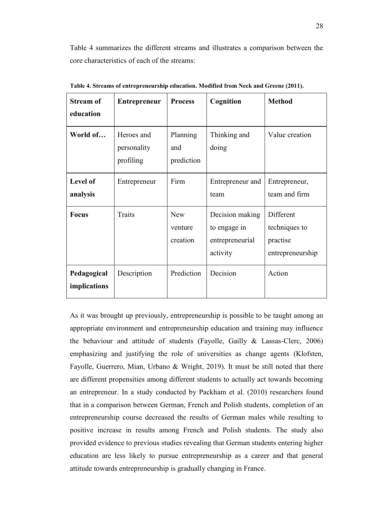Table 4 summarizes the different streams and illustrates a comparison between the core characteristics of each of the streams:

| <b>Stream of</b><br>education | <b>Entrepreneur</b>                    | <b>Process</b>                    | Cognition                                                      | <b>Method</b>                                              |
|-------------------------------|----------------------------------------|-----------------------------------|----------------------------------------------------------------|------------------------------------------------------------|
| World of                      | Heroes and<br>personality<br>profiling | Planning<br>and<br>prediction     | Thinking and<br>doing                                          | Value creation                                             |
| Level of<br>analysis          | Entrepreneur                           | Firm                              | Entrepreneur and<br>team                                       | Entrepreneur,<br>team and firm                             |
| <b>Focus</b>                  | Traits                                 | <b>New</b><br>venture<br>creation | Decision making<br>to engage in<br>entrepreneurial<br>activity | Different<br>techniques to<br>practise<br>entrepreneurship |
| Pedagogical<br>implications   | Description                            | Prediction                        | Decision                                                       | Action                                                     |

**Table 4. Streams of entrepreneurship education. Modified from Neck and Greene (2011).**

As it was brought up previously, entrepreneurship is possible to be taught among an appropriate environment and entrepreneurship education and training may influence the behaviour and attitude of students (Fayolle, Gailly & Lassas-Clerc, 2006) emphasizing and justifying the role of universities as change agents (Klofsten, Fayolle, Guerrero, Mian, Urbano & Wright, 2019). It must be still noted that there are different propensities among different students to actually act towards becoming an entrepreneur. In a study conducted by Packham et al. (2010) researchers found that in a comparison between German, French and Polish students, completion of an entrepreneurship course decreased the results of German males while resulting to positive increase in results among French and Polish students. The study also provided evidence to previous studies revealing that German students entering higher education are less likely to pursue entrepreneurship as a career and that general attitude towards entrepreneurship is gradually changing in France.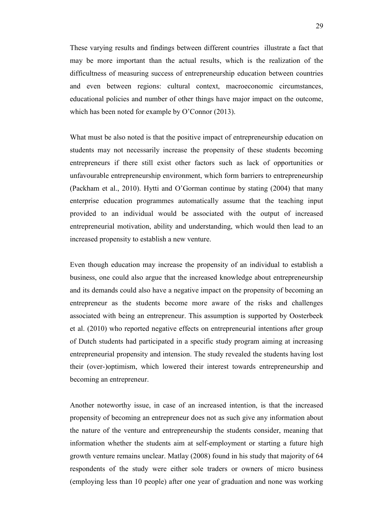These varying results and findings between different countries illustrate a fact that may be more important than the actual results, which is the realization of the difficultness of measuring success of entrepreneurship education between countries and even between regions: cultural context, macroeconomic circumstances, educational policies and number of other things have major impact on the outcome, which has been noted for example by O'Connor (2013).

What must be also noted is that the positive impact of entrepreneurship education on students may not necessarily increase the propensity of these students becoming entrepreneurs if there still exist other factors such as lack of opportunities or unfavourable entrepreneurship environment, which form barriers to entrepreneurship (Packham et al., 2010). Hytti and O'Gorman continue by stating (2004) that many enterprise education programmes automatically assume that the teaching input provided to an individual would be associated with the output of increased entrepreneurial motivation, ability and understanding, which would then lead to an increased propensity to establish a new venture.

Even though education may increase the propensity of an individual to establish a business, one could also argue that the increased knowledge about entrepreneurship and its demands could also have a negative impact on the propensity of becoming an entrepreneur as the students become more aware of the risks and challenges associated with being an entrepreneur. This assumption is supported by Oosterbeek et al. (2010) who reported negative effects on entrepreneurial intentions after group of Dutch students had participated in a specific study program aiming at increasing entrepreneurial propensity and intension. The study revealed the students having lost their (over-)optimism, which lowered their interest towards entrepreneurship and becoming an entrepreneur.

Another noteworthy issue, in case of an increased intention, is that the increased propensity of becoming an entrepreneur does not as such give any information about the nature of the venture and entrepreneurship the students consider, meaning that information whether the students aim at self-employment or starting a future high growth venture remains unclear. Matlay (2008) found in his study that majority of 64 respondents of the study were either sole traders or owners of micro business (employing less than 10 people) after one year of graduation and none was working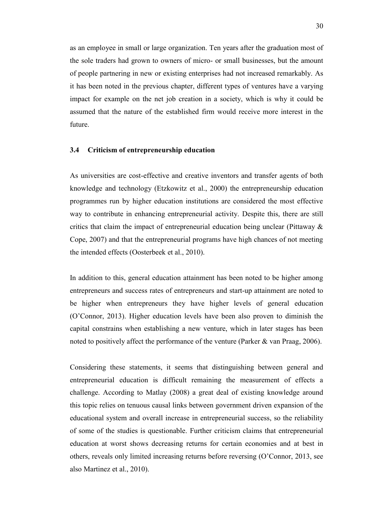as an employee in small or large organization. Ten years after the graduation most of the sole traders had grown to owners of micro- or small businesses, but the amount of people partnering in new or existing enterprises had not increased remarkably. As it has been noted in the previous chapter, different types of ventures have a varying impact for example on the net job creation in a society, which is why it could be assumed that the nature of the established firm would receive more interest in the future.

### <span id="page-29-0"></span>**3.4 Criticism of entrepreneurship education**

As universities are cost-effective and creative inventors and transfer agents of both knowledge and technology (Etzkowitz et al., 2000) the entrepreneurship education programmes run by higher education institutions are considered the most effective way to contribute in enhancing entrepreneurial activity. Despite this, there are still critics that claim the impact of entrepreneurial education being unclear (Pittaway & Cope, 2007) and that the entrepreneurial programs have high chances of not meeting the intended effects (Oosterbeek et al., 2010).

In addition to this, general education attainment has been noted to be higher among entrepreneurs and success rates of entrepreneurs and start-up attainment are noted to be higher when entrepreneurs they have higher levels of general education (O'Connor, 2013). Higher education levels have been also proven to diminish the capital constrains when establishing a new venture, which in later stages has been noted to positively affect the performance of the venture (Parker & van Praag, 2006).

Considering these statements, it seems that distinguishing between general and entrepreneurial education is difficult remaining the measurement of effects a challenge. According to Matlay (2008) a great deal of existing knowledge around this topic relies on tenuous causal links between government driven expansion of the educational system and overall increase in entrepreneurial success, so the reliability of some of the studies is questionable. Further criticism claims that entrepreneurial education at worst shows decreasing returns for certain economies and at best in others, reveals only limited increasing returns before reversing (O'Connor, 2013, see also Martinez et al., 2010).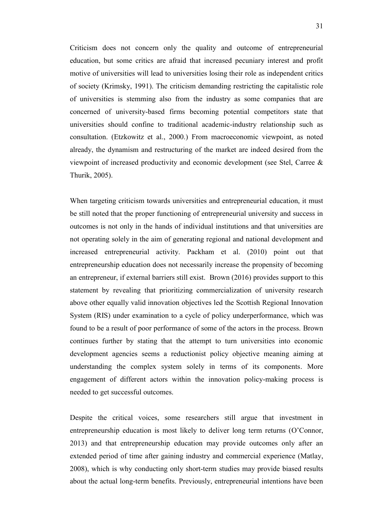Criticism does not concern only the quality and outcome of entrepreneurial education, but some critics are afraid that increased pecuniary interest and profit motive of universities will lead to universities losing their role as independent critics of society (Krimsky, 1991). The criticism demanding restricting the capitalistic role of universities is stemming also from the industry as some companies that are concerned of university-based firms becoming potential competitors state that universities should confine to traditional academic-industry relationship such as consultation. (Etzkowitz et al., 2000.) From macroeconomic viewpoint, as noted already, the dynamism and restructuring of the market are indeed desired from the viewpoint of increased productivity and economic development (see Stel, Carree & Thurik, 2005).

When targeting criticism towards universities and entrepreneurial education, it must be still noted that the proper functioning of entrepreneurial university and success in outcomes is not only in the hands of individual institutions and that universities are not operating solely in the aim of generating regional and national development and increased entrepreneurial activity. Packham et al. (2010) point out that entrepreneurship education does not necessarily increase the propensity of becoming an entrepreneur, if external barriers still exist. Brown (2016) provides support to this statement by revealing that prioritizing commercialization of university research above other equally valid innovation objectives led the Scottish Regional Innovation System (RIS) under examination to a cycle of policy underperformance, which was found to be a result of poor performance of some of the actors in the process. Brown continues further by stating that the attempt to turn universities into economic development agencies seems a reductionist policy objective meaning aiming at understanding the complex system solely in terms of its components. More engagement of different actors within the innovation policy-making process is needed to get successful outcomes.

Despite the critical voices, some researchers still argue that investment in entrepreneurship education is most likely to deliver long term returns (O'Connor, 2013) and that entrepreneurship education may provide outcomes only after an extended period of time after gaining industry and commercial experience (Matlay, 2008), which is why conducting only short-term studies may provide biased results about the actual long-term benefits. Previously, entrepreneurial intentions have been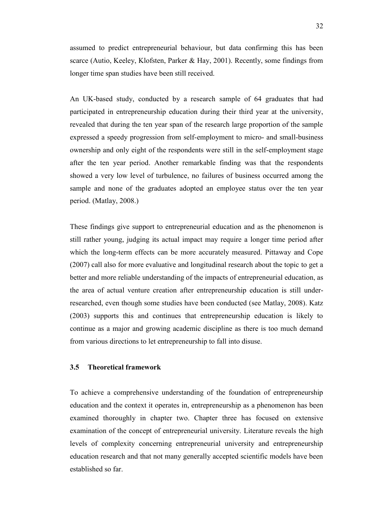assumed to predict entrepreneurial behaviour, but data confirming this has been scarce (Autio, Keeley, Klofsten, Parker & Hay, 2001). Recently, some findings from longer time span studies have been still received.

An UK-based study, conducted by a research sample of 64 graduates that had participated in entrepreneurship education during their third year at the university, revealed that during the ten year span of the research large proportion of the sample expressed a speedy progression from self-employment to micro- and small-business ownership and only eight of the respondents were still in the self-employment stage after the ten year period. Another remarkable finding was that the respondents showed a very low level of turbulence, no failures of business occurred among the sample and none of the graduates adopted an employee status over the ten year period. (Matlay, 2008.)

These findings give support to entrepreneurial education and as the phenomenon is still rather young, judging its actual impact may require a longer time period after which the long-term effects can be more accurately measured. Pittaway and Cope (2007) call also for more evaluative and longitudinal research about the topic to get a better and more reliable understanding of the impacts of entrepreneurial education, as the area of actual venture creation after entrepreneurship education is still underresearched, even though some studies have been conducted (see Matlay, 2008). Katz (2003) supports this and continues that entrepreneurship education is likely to continue as a major and growing academic discipline as there is too much demand from various directions to let entrepreneurship to fall into disuse.

### <span id="page-31-0"></span>**3.5 Theoretical framework**

To achieve a comprehensive understanding of the foundation of entrepreneurship education and the context it operates in, entrepreneurship as a phenomenon has been examined thoroughly in chapter two. Chapter three has focused on extensive examination of the concept of entrepreneurial university. Literature reveals the high levels of complexity concerning entrepreneurial university and entrepreneurship education research and that not many generally accepted scientific models have been established so far.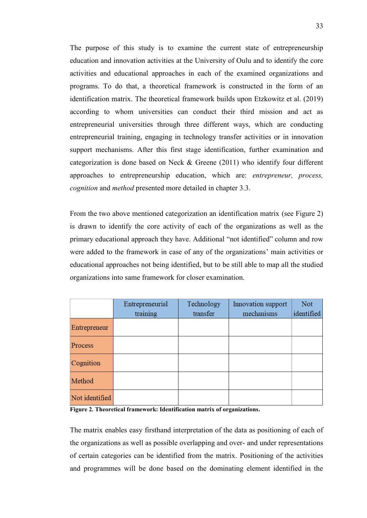The purpose of this study is to examine the current state of entrepreneurship education and innovation activities at the University of Oulu and to identify the core activities and educational approaches in each of the examined organizations and programs. To do that, a theoretical framework is constructed in the form of an identification matrix. The theoretical framework builds upon Etzkowitz et al. (2019) according to whom universities can conduct their third mission and act as entrepreneurial universities through three different ways, which are conducting entrepreneurial training, engaging in technology transfer activities or in innovation support mechanisms. After this first stage identification, further examination and categorization is done based on Neck & Greene (2011) who identify four different approaches to entrepreneurship education, which are: *entrepreneur, process, cognition* and *method* presented more detailed in chapter 3.3.

From the two above mentioned categorization an identification matrix (see Figure 2) is drawn to identify the core activity of each of the organizations as well as the primary educational approach they have. Additional "not identified" column and row were added to the framework in case of any of the organizations' main activities or educational approaches not being identified, but to be still able to map all the studied organizations into same framework for closer examination.

|                | Entrepreneurial | Technology | Innovation support | <b>Not</b> |
|----------------|-----------------|------------|--------------------|------------|
|                | training        | transfer   | mechanisms         | identified |
| Entrepreneur   |                 |            |                    |            |
| Process        |                 |            |                    |            |
| Cognition      |                 |            |                    |            |
| Method         |                 |            |                    |            |
| Not identified |                 |            |                    |            |

**Figure 2. Theoretical framework: Identification matrix of organizations.**

The matrix enables easy firsthand interpretation of the data as positioning of each of the organizations as well as possible overlapping and over- and under representations of certain categories can be identified from the matrix. Positioning of the activities and programmes will be done based on the dominating element identified in the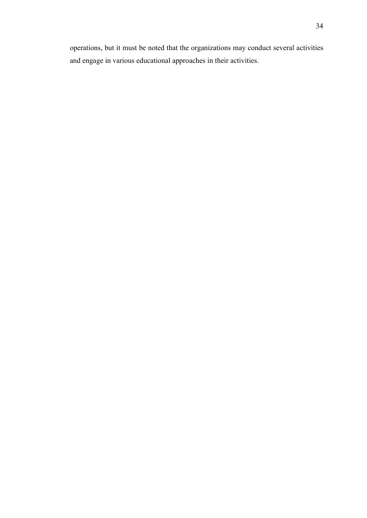operations, but it must be noted that the organizations may conduct several activities and engage in various educational approaches in their activities.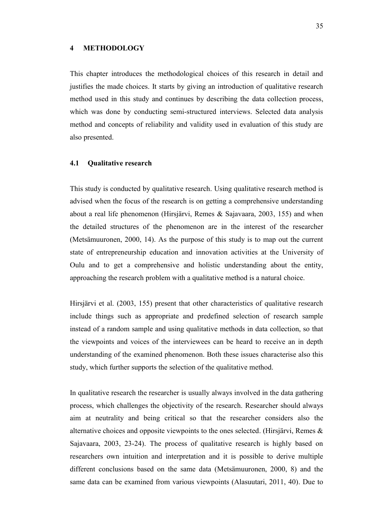### <span id="page-34-0"></span>**4 METHODOLOGY**

This chapter introduces the methodological choices of this research in detail and justifies the made choices. It starts by giving an introduction of qualitative research method used in this study and continues by describing the data collection process, which was done by conducting semi-structured interviews. Selected data analysis method and concepts of reliability and validity used in evaluation of this study are also presented.

### <span id="page-34-1"></span>**4.1 Qualitative research**

This study is conducted by qualitative research. Using qualitative research method is advised when the focus of the research is on getting a comprehensive understanding about a real life phenomenon (Hirsjärvi, Remes & Sajavaara, 2003, 155) and when the detailed structures of the phenomenon are in the interest of the researcher (Metsämuuronen, 2000, 14). As the purpose of this study is to map out the current state of entrepreneurship education and innovation activities at the University of Oulu and to get a comprehensive and holistic understanding about the entity, approaching the research problem with a qualitative method is a natural choice.

Hirsjärvi et al. (2003, 155) present that other characteristics of qualitative research include things such as appropriate and predefined selection of research sample instead of a random sample and using qualitative methods in data collection, so that the viewpoints and voices of the interviewees can be heard to receive an in depth understanding of the examined phenomenon. Both these issues characterise also this study, which further supports the selection of the qualitative method.

In qualitative research the researcher is usually always involved in the data gathering process, which challenges the objectivity of the research. Researcher should always aim at neutrality and being critical so that the researcher considers also the alternative choices and opposite viewpoints to the ones selected. (Hirsjärvi, Remes & Sajavaara, 2003, 23-24). The process of qualitative research is highly based on researchers own intuition and interpretation and it is possible to derive multiple different conclusions based on the same data (Metsämuuronen, 2000, 8) and the same data can be examined from various viewpoints (Alasuutari, 2011, 40). Due to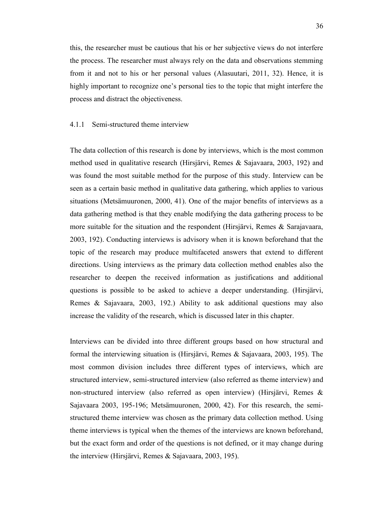this, the researcher must be cautious that his or her subjective views do not interfere the process. The researcher must always rely on the data and observations stemming from it and not to his or her personal values (Alasuutari, 2011, 32). Hence, it is highly important to recognize one's personal ties to the topic that might interfere the process and distract the objectiveness.

### <span id="page-35-0"></span>4.1.1 Semi-structured theme interview

The data collection of this research is done by interviews, which is the most common method used in qualitative research (Hirsjärvi, Remes & Sajavaara, 2003, 192) and was found the most suitable method for the purpose of this study. Interview can be seen as a certain basic method in qualitative data gathering, which applies to various situations (Metsämuuronen, 2000, 41). One of the major benefits of interviews as a data gathering method is that they enable modifying the data gathering process to be more suitable for the situation and the respondent (Hirsjärvi, Remes & Sarajavaara, 2003, 192). Conducting interviews is advisory when it is known beforehand that the topic of the research may produce multifaceted answers that extend to different directions. Using interviews as the primary data collection method enables also the researcher to deepen the received information as justifications and additional questions is possible to be asked to achieve a deeper understanding. (Hirsjärvi, Remes & Sajavaara, 2003, 192.) Ability to ask additional questions may also increase the validity of the research, which is discussed later in this chapter.

Interviews can be divided into three different groups based on how structural and formal the interviewing situation is (Hirsjärvi, Remes & Sajavaara, 2003, 195). The most common division includes three different types of interviews, which are structured interview, semi-structured interview (also referred as theme interview) and non-structured interview (also referred as open interview) (Hirsjärvi, Remes & Sajavaara 2003, 195-196; Metsämuuronen, 2000, 42). For this research, the semistructured theme interview was chosen as the primary data collection method. Using theme interviews is typical when the themes of the interviews are known beforehand, but the exact form and order of the questions is not defined, or it may change during the interview (Hirsjärvi, Remes & Sajavaara, 2003, 195).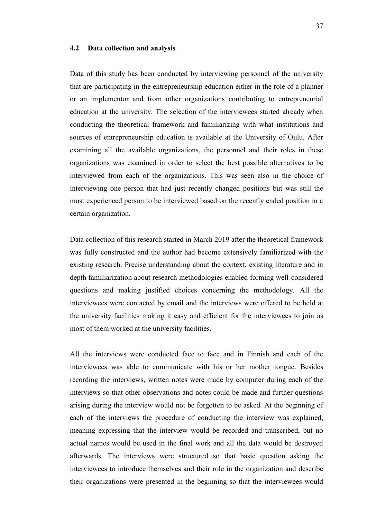#### **4.2 Data collection and analysis**

Data of this study has been conducted by interviewing personnel of the university that are participating in the entrepreneurship education either in the role of a planner or an implementor and from other organizations contributing to entrepreneurial education at the university. The selection of the interviewees started already when conducting the theoretical framework and familiarizing with what institutions and sources of entrepreneurship education is available at the University of Oulu. After examining all the available organizations, the personnel and their roles in these organizations was examined in order to select the best possible alternatives to be interviewed from each of the organizations. This was seen also in the choice of interviewing one person that had just recently changed positions but was still the most experienced person to be interviewed based on the recently ended position in a certain organization.

Data collection of this research started in March 2019 after the theoretical framework was fully constructed and the author had become extensively familiarized with the existing research. Precise understanding about the context, existing literature and in depth familiarization about research methodologies enabled forming well-considered questions and making justified choices concerning the methodology. All the interviewees were contacted by email and the interviews were offered to be held at the university facilities making it easy and efficient for the interviewees to join as most of them worked at the university facilities.

All the interviews were conducted face to face and in Finnish and each of the interviewees was able to communicate with his or her mother tongue. Besides recording the interviews, written notes were made by computer during each of the interviews so that other observations and notes could be made and further questions arising during the interview would not be forgotten to be asked. At the beginning of each of the interviews the procedure of conducting the interview was explained, meaning expressing that the interview would be recorded and transcribed, but no actual names would be used in the final work and all the data would be destroyed afterwards. The interviews were structured so that basic question asking the interviewees to introduce themselves and their role in the organization and describe their organizations were presented in the beginning so that the interviewees would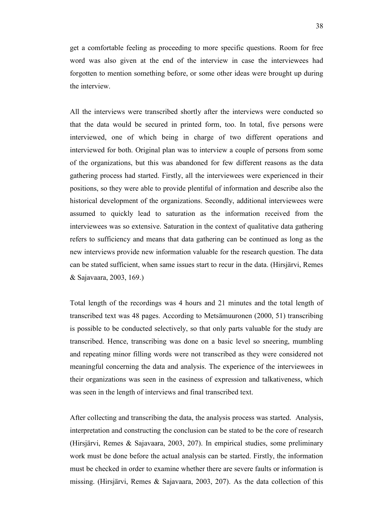get a comfortable feeling as proceeding to more specific questions. Room for free word was also given at the end of the interview in case the interviewees had forgotten to mention something before, or some other ideas were brought up during the interview.

All the interviews were transcribed shortly after the interviews were conducted so that the data would be secured in printed form, too. In total, five persons were interviewed, one of which being in charge of two different operations and interviewed for both. Original plan was to interview a couple of persons from some of the organizations, but this was abandoned for few different reasons as the data gathering process had started. Firstly, all the interviewees were experienced in their positions, so they were able to provide plentiful of information and describe also the historical development of the organizations. Secondly, additional interviewees were assumed to quickly lead to saturation as the information received from the interviewees was so extensive. Saturation in the context of qualitative data gathering refers to sufficiency and means that data gathering can be continued as long as the new interviews provide new information valuable for the research question. The data can be stated sufficient, when same issues start to recur in the data. (Hirsjärvi, Remes & Sajavaara, 2003, 169.)

Total length of the recordings was 4 hours and 21 minutes and the total length of transcribed text was 48 pages. According to Metsämuuronen (2000, 51) transcribing is possible to be conducted selectively, so that only parts valuable for the study are transcribed. Hence, transcribing was done on a basic level so sneering, mumbling and repeating minor filling words were not transcribed as they were considered not meaningful concerning the data and analysis. The experience of the interviewees in their organizations was seen in the easiness of expression and talkativeness, which was seen in the length of interviews and final transcribed text.

After collecting and transcribing the data, the analysis process was started. Analysis, interpretation and constructing the conclusion can be stated to be the core of research (Hirsjärvi, Remes & Sajavaara, 2003, 207). In empirical studies, some preliminary work must be done before the actual analysis can be started. Firstly, the information must be checked in order to examine whether there are severe faults or information is missing. (Hirsjärvi, Remes & Sajavaara, 2003, 207). As the data collection of this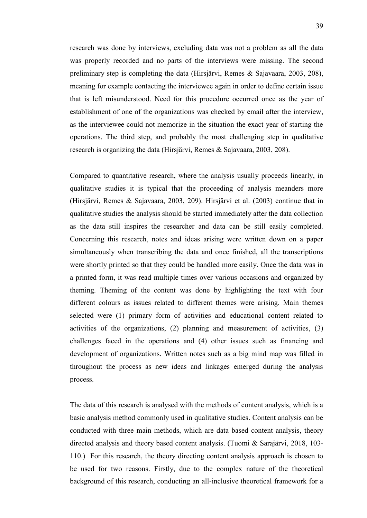research was done by interviews, excluding data was not a problem as all the data was properly recorded and no parts of the interviews were missing. The second preliminary step is completing the data (Hirsjärvi, Remes & Sajavaara, 2003, 208), meaning for example contacting the interviewee again in order to define certain issue that is left misunderstood. Need for this procedure occurred once as the year of establishment of one of the organizations was checked by email after the interview, as the interviewee could not memorize in the situation the exact year of starting the operations. The third step, and probably the most challenging step in qualitative research is organizing the data (Hirsjärvi, Remes & Sajavaara, 2003, 208).

Compared to quantitative research, where the analysis usually proceeds linearly, in qualitative studies it is typical that the proceeding of analysis meanders more (Hirsjärvi, Remes & Sajavaara, 2003, 209). Hirsjärvi et al. (2003) continue that in qualitative studies the analysis should be started immediately after the data collection as the data still inspires the researcher and data can be still easily completed. Concerning this research, notes and ideas arising were written down on a paper simultaneously when transcribing the data and once finished, all the transcriptions were shortly printed so that they could be handled more easily. Once the data was in a printed form, it was read multiple times over various occasions and organized by theming. Theming of the content was done by highlighting the text with four different colours as issues related to different themes were arising. Main themes selected were (1) primary form of activities and educational content related to activities of the organizations, (2) planning and measurement of activities, (3) challenges faced in the operations and (4) other issues such as financing and development of organizations. Written notes such as a big mind map was filled in throughout the process as new ideas and linkages emerged during the analysis process.

The data of this research is analysed with the methods of content analysis, which is a basic analysis method commonly used in qualitative studies. Content analysis can be conducted with three main methods, which are data based content analysis, theory directed analysis and theory based content analysis. (Tuomi & Sarajärvi, 2018, 103- 110.) For this research, the theory directing content analysis approach is chosen to be used for two reasons. Firstly, due to the complex nature of the theoretical background of this research, conducting an all-inclusive theoretical framework for a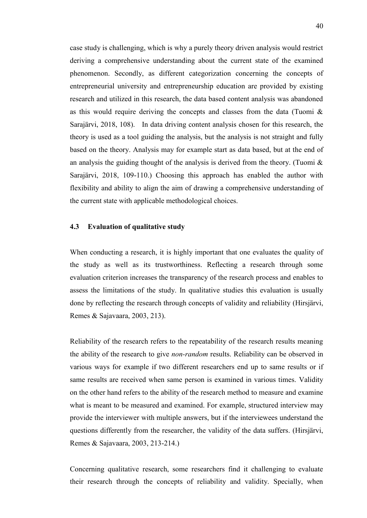case study is challenging, which is why a purely theory driven analysis would restrict deriving a comprehensive understanding about the current state of the examined phenomenon. Secondly, as different categorization concerning the concepts of entrepreneurial university and entrepreneurship education are provided by existing research and utilized in this research, the data based content analysis was abandoned as this would require deriving the concepts and classes from the data (Tuomi & Sarajärvi, 2018, 108). In data driving content analysis chosen for this research, the theory is used as a tool guiding the analysis, but the analysis is not straight and fully based on the theory. Analysis may for example start as data based, but at the end of an analysis the guiding thought of the analysis is derived from the theory. (Tuomi  $\&$ Sarajärvi, 2018, 109-110.) Choosing this approach has enabled the author with flexibility and ability to align the aim of drawing a comprehensive understanding of the current state with applicable methodological choices.

### **4.3 Evaluation of qualitative study**

When conducting a research, it is highly important that one evaluates the quality of the study as well as its trustworthiness. Reflecting a research through some evaluation criterion increases the transparency of the research process and enables to assess the limitations of the study. In qualitative studies this evaluation is usually done by reflecting the research through concepts of validity and reliability (Hirsjärvi, Remes & Sajavaara, 2003, 213).

Reliability of the research refers to the repeatability of the research results meaning the ability of the research to give *non-random* results. Reliability can be observed in various ways for example if two different researchers end up to same results or if same results are received when same person is examined in various times. Validity on the other hand refers to the ability of the research method to measure and examine what is meant to be measured and examined. For example, structured interview may provide the interviewer with multiple answers, but if the interviewees understand the questions differently from the researcher, the validity of the data suffers. (Hirsjärvi, Remes & Sajavaara, 2003, 213-214.)

Concerning qualitative research, some researchers find it challenging to evaluate their research through the concepts of reliability and validity. Specially, when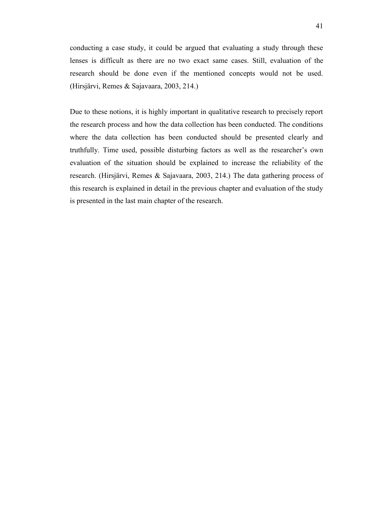conducting a case study, it could be argued that evaluating a study through these lenses is difficult as there are no two exact same cases. Still, evaluation of the research should be done even if the mentioned concepts would not be used. (Hirsjärvi, Remes & Sajavaara, 2003, 214.)

Due to these notions, it is highly important in qualitative research to precisely report the research process and how the data collection has been conducted. The conditions where the data collection has been conducted should be presented clearly and truthfully. Time used, possible disturbing factors as well as the researcher's own evaluation of the situation should be explained to increase the reliability of the research. (Hirsjärvi, Remes & Sajavaara, 2003, 214.) The data gathering process of this research is explained in detail in the previous chapter and evaluation of the study is presented in the last main chapter of the research.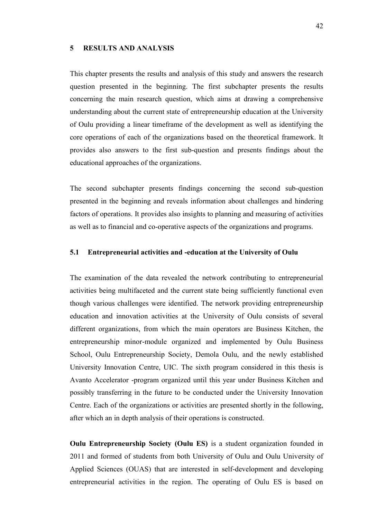#### **5 RESULTS AND ANALYSIS**

This chapter presents the results and analysis of this study and answers the research question presented in the beginning. The first subchapter presents the results concerning the main research question, which aims at drawing a comprehensive understanding about the current state of entrepreneurship education at the University of Oulu providing a linear timeframe of the development as well as identifying the core operations of each of the organizations based on the theoretical framework. It provides also answers to the first sub-question and presents findings about the educational approaches of the organizations.

The second subchapter presents findings concerning the second sub-question presented in the beginning and reveals information about challenges and hindering factors of operations. It provides also insights to planning and measuring of activities as well as to financial and co-operative aspects of the organizations and programs.

# **5.1 Entrepreneurial activities and -education at the University of Oulu**

The examination of the data revealed the network contributing to entrepreneurial activities being multifaceted and the current state being sufficiently functional even though various challenges were identified. The network providing entrepreneurship education and innovation activities at the University of Oulu consists of several different organizations, from which the main operators are Business Kitchen, the entrepreneurship minor-module organized and implemented by Oulu Business School, Oulu Entrepreneurship Society, Demola Oulu, and the newly established University Innovation Centre, UIC. The sixth program considered in this thesis is Avanto Accelerator -program organized until this year under Business Kitchen and possibly transferring in the future to be conducted under the University Innovation Centre. Each of the organizations or activities are presented shortly in the following, after which an in depth analysis of their operations is constructed.

**Oulu Entrepreneurship Society (Oulu ES)** is a student organization founded in 2011 and formed of students from both University of Oulu and Oulu University of Applied Sciences (OUAS) that are interested in self-development and developing entrepreneurial activities in the region. The operating of Oulu ES is based on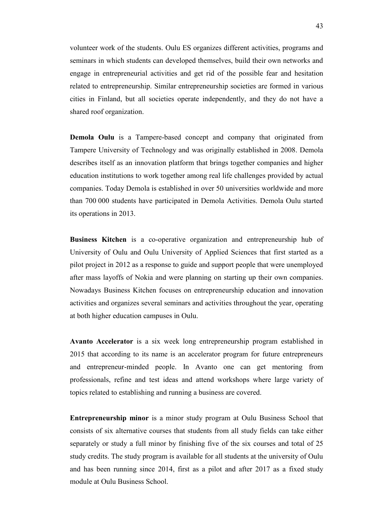volunteer work of the students. Oulu ES organizes different activities, programs and seminars in which students can developed themselves, build their own networks and engage in entrepreneurial activities and get rid of the possible fear and hesitation related to entrepreneurship. Similar entrepreneurship societies are formed in various cities in Finland, but all societies operate independently, and they do not have a shared roof organization.

**Demola Oulu** is a Tampere-based concept and company that originated from Tampere University of Technology and was originally established in 2008. Demola describes itself as an innovation platform that brings together companies and higher education institutions to work together among real life challenges provided by actual companies. Today Demola is established in over 50 universities worldwide and more than 700 000 students have participated in Demola Activities. Demola Oulu started its operations in 2013.

**Business Kitchen** is a co-operative organization and entrepreneurship hub of University of Oulu and Oulu University of Applied Sciences that first started as a pilot project in 2012 as a response to guide and support people that were unemployed after mass layoffs of Nokia and were planning on starting up their own companies. Nowadays Business Kitchen focuses on entrepreneurship education and innovation activities and organizes several seminars and activities throughout the year, operating at both higher education campuses in Oulu.

**Avanto Accelerator** is a six week long entrepreneurship program established in 2015 that according to its name is an accelerator program for future entrepreneurs and entrepreneur-minded people. In Avanto one can get mentoring from professionals, refine and test ideas and attend workshops where large variety of topics related to establishing and running a business are covered.

**Entrepreneurship minor** is a minor study program at Oulu Business School that consists of six alternative courses that students from all study fields can take either separately or study a full minor by finishing five of the six courses and total of 25 study credits. The study program is available for all students at the university of Oulu and has been running since 2014, first as a pilot and after 2017 as a fixed study module at Oulu Business School.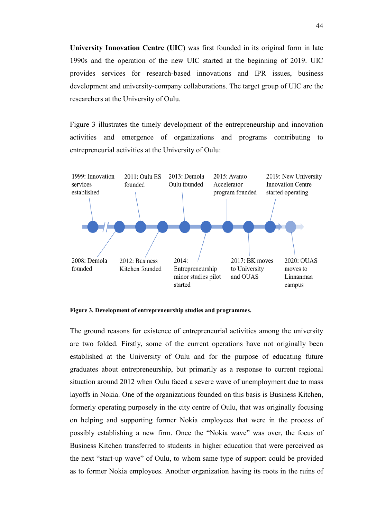**University Innovation Centre (UIC)** was first founded in its original form in late 1990s and the operation of the new UIC started at the beginning of 2019. UIC provides services for research-based innovations and IPR issues, business development and university-company collaborations. The target group of UIC are the researchers at the University of Oulu.

Figure 3 illustrates the timely development of the entrepreneurship and innovation activities and emergence of organizations and programs contributing to entrepreneurial activities at the University of Oulu:



**Figure 3. Development of entrepreneurship studies and programmes.**

The ground reasons for existence of entrepreneurial activities among the university are two folded. Firstly, some of the current operations have not originally been established at the University of Oulu and for the purpose of educating future graduates about entrepreneurship, but primarily as a response to current regional situation around 2012 when Oulu faced a severe wave of unemployment due to mass layoffs in Nokia. One of the organizations founded on this basis is Business Kitchen, formerly operating purposely in the city centre of Oulu, that was originally focusing on helping and supporting former Nokia employees that were in the process of possibly establishing a new firm. Once the "Nokia wave" was over, the focus of Business Kitchen transferred to students in higher education that were perceived as the next "start-up wave" of Oulu, to whom same type of support could be provided as to former Nokia employees. Another organization having its roots in the ruins of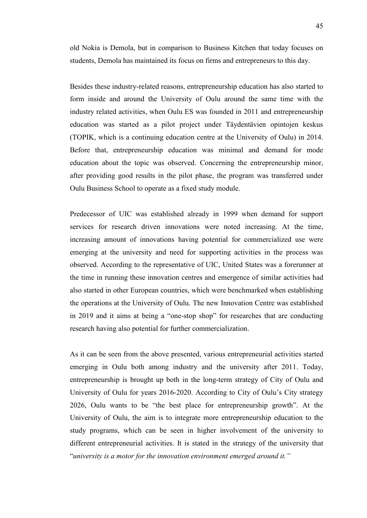old Nokia is Demola, but in comparison to Business Kitchen that today focuses on students, Demola has maintained its focus on firms and entrepreneurs to this day.

Besides these industry-related reasons, entrepreneurship education has also started to form inside and around the University of Oulu around the same time with the industry related activities, when Oulu ES was founded in 2011 and entrepreneurship education was started as a pilot project under Täydentävien opintojen keskus (TOPIK, which is a continuing education centre at the University of Oulu) in 2014. Before that, entrepreneurship education was minimal and demand for mode education about the topic was observed. Concerning the entrepreneurship minor, after providing good results in the pilot phase, the program was transferred under Oulu Business School to operate as a fixed study module.

Predecessor of UIC was established already in 1999 when demand for support services for research driven innovations were noted increasing. At the time, increasing amount of innovations having potential for commercialized use were emerging at the university and need for supporting activities in the process was observed. According to the representative of UIC, United States was a forerunner at the time in running these innovation centres and emergence of similar activities had also started in other European countries, which were benchmarked when establishing the operations at the University of Oulu. The new Innovation Centre was established in 2019 and it aims at being a "one-stop shop" for researches that are conducting research having also potential for further commercialization.

As it can be seen from the above presented, various entrepreneurial activities started emerging in Oulu both among industry and the university after 2011. Today, entrepreneurship is brought up both in the long-term strategy of City of Oulu and University of Oulu for years 2016-2020. According to City of Oulu's City strategy 2026, Oulu wants to be "the best place for entrepreneurship growth". At the University of Oulu, the aim is to integrate more entrepreneurship education to the study programs, which can be seen in higher involvement of the university to different entrepreneurial activities. It is stated in the strategy of the university that "*university is a motor for the innovation environment emerged around it."*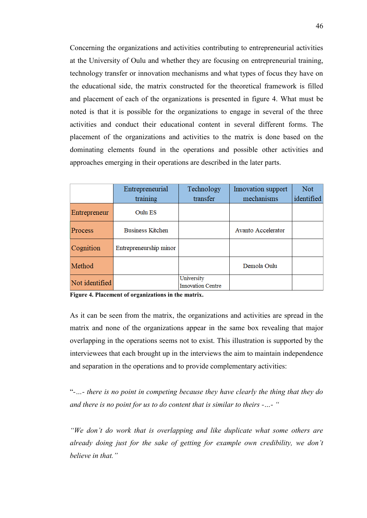Concerning the organizations and activities contributing to entrepreneurial activities at the University of Oulu and whether they are focusing on entrepreneurial training, technology transfer or innovation mechanisms and what types of focus they have on the educational side, the matrix constructed for the theoretical framework is filled and placement of each of the organizations is presented in figure 4. What must be noted is that it is possible for the organizations to engage in several of the three activities and conduct their educational content in several different forms. The placement of the organizations and activities to the matrix is done based on the dominating elements found in the operations and possible other activities and approaches emerging in their operations are described in the later parts.

|                | Entrepreneurial         | Technology                             | Innovation support | Not.       |
|----------------|-------------------------|----------------------------------------|--------------------|------------|
|                | training                | transfer                               | mechanisms         | identified |
| Entrepreneur   | Oulu ES                 |                                        |                    |            |
| <b>Process</b> | <b>Business Kitchen</b> |                                        | Avanto Accelerator |            |
| Cognition      | Entrepreneurship minor  |                                        |                    |            |
| Method         |                         |                                        | Demola Oulu        |            |
| Not identified |                         | University<br><b>Innovation Centre</b> |                    |            |

**Figure 4. Placement of organizations in the matrix.**

As it can be seen from the matrix, the organizations and activities are spread in the matrix and none of the organizations appear in the same box revealing that major overlapping in the operations seems not to exist. This illustration is supported by the interviewees that each brought up in the interviews the aim to maintain independence and separation in the operations and to provide complementary activities:

"*-…- there is no point in competing because they have clearly the thing that they do and there is no point for us to do content that is similar to theirs -…- "*

*"We don't do work that is overlapping and like duplicate what some others are already doing just for the sake of getting for example own credibility, we don't believe in that."*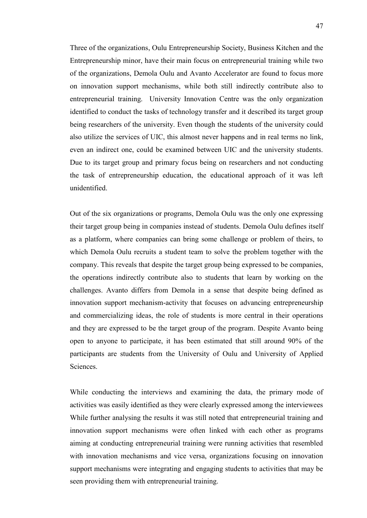Three of the organizations, Oulu Entrepreneurship Society, Business Kitchen and the Entrepreneurship minor, have their main focus on entrepreneurial training while two of the organizations, Demola Oulu and Avanto Accelerator are found to focus more on innovation support mechanisms, while both still indirectly contribute also to entrepreneurial training. University Innovation Centre was the only organization identified to conduct the tasks of technology transfer and it described its target group being researchers of the university. Even though the students of the university could also utilize the services of UIC, this almost never happens and in real terms no link, even an indirect one, could be examined between UIC and the university students. Due to its target group and primary focus being on researchers and not conducting the task of entrepreneurship education, the educational approach of it was left unidentified.

Out of the six organizations or programs, Demola Oulu was the only one expressing their target group being in companies instead of students. Demola Oulu defines itself as a platform, where companies can bring some challenge or problem of theirs, to which Demola Oulu recruits a student team to solve the problem together with the company. This reveals that despite the target group being expressed to be companies, the operations indirectly contribute also to students that learn by working on the challenges. Avanto differs from Demola in a sense that despite being defined as innovation support mechanism-activity that focuses on advancing entrepreneurship and commercializing ideas, the role of students is more central in their operations and they are expressed to be the target group of the program. Despite Avanto being open to anyone to participate, it has been estimated that still around 90% of the participants are students from the University of Oulu and University of Applied Sciences.

While conducting the interviews and examining the data, the primary mode of activities was easily identified as they were clearly expressed among the interviewees While further analysing the results it was still noted that entrepreneurial training and innovation support mechanisms were often linked with each other as programs aiming at conducting entrepreneurial training were running activities that resembled with innovation mechanisms and vice versa, organizations focusing on innovation support mechanisms were integrating and engaging students to activities that may be seen providing them with entrepreneurial training.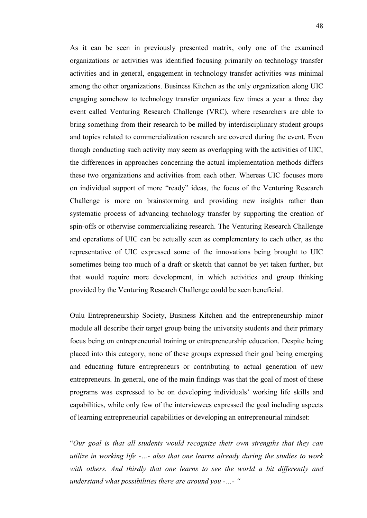As it can be seen in previously presented matrix, only one of the examined organizations or activities was identified focusing primarily on technology transfer activities and in general, engagement in technology transfer activities was minimal among the other organizations. Business Kitchen as the only organization along UIC engaging somehow to technology transfer organizes few times a year a three day event called Venturing Research Challenge (VRC), where researchers are able to bring something from their research to be milled by interdisciplinary student groups and topics related to commercialization research are covered during the event. Even though conducting such activity may seem as overlapping with the activities of UIC, the differences in approaches concerning the actual implementation methods differs these two organizations and activities from each other. Whereas UIC focuses more on individual support of more "ready" ideas, the focus of the Venturing Research Challenge is more on brainstorming and providing new insights rather than systematic process of advancing technology transfer by supporting the creation of spin-offs or otherwise commercializing research. The Venturing Research Challenge and operations of UIC can be actually seen as complementary to each other, as the representative of UIC expressed some of the innovations being brought to UIC sometimes being too much of a draft or sketch that cannot be yet taken further, but that would require more development, in which activities and group thinking provided by the Venturing Research Challenge could be seen beneficial.

Oulu Entrepreneurship Society, Business Kitchen and the entrepreneurship minor module all describe their target group being the university students and their primary focus being on entrepreneurial training or entrepreneurship education. Despite being placed into this category, none of these groups expressed their goal being emerging and educating future entrepreneurs or contributing to actual generation of new entrepreneurs. In general, one of the main findings was that the goal of most of these programs was expressed to be on developing individuals' working life skills and capabilities, while only few of the interviewees expressed the goal including aspects of learning entrepreneurial capabilities or developing an entrepreneurial mindset:

"*Our goal is that all students would recognize their own strengths that they can utilize in working life -…- also that one learns already during the studies to work with others. And thirdly that one learns to see the world a bit differently and understand what possibilities there are around you -…- "*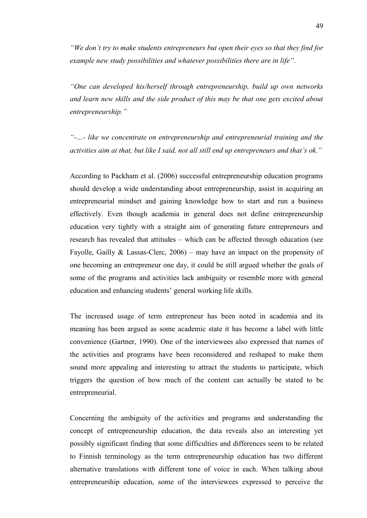*"We don't try to make students entrepreneurs but open their eyes so that they find for example new study possibilities and whatever possibilities there are in life".*

*"One can developed his/herself through entrepreneurship, build up own networks and learn new skills and the side product of this may be that one gets excited about entrepreneurship."*

*"-…- like we concentrate on entrepreneurship and entrepreneurial training and the activities aim at that, but like I said, not all still end up entrepreneurs and that's ok."*

According to Packham et al. (2006) successful entrepreneurship education programs should develop a wide understanding about entrepreneurship, assist in acquiring an entrepreneurial mindset and gaining knowledge how to start and run a business effectively. Even though academia in general does not define entrepreneurship education very tightly with a straight aim of generating future entrepreneurs and research has revealed that attitudes – which can be affected through education (see Fayolle, Gailly & Lassas-Clerc,  $2006$ ) – may have an impact on the propensity of one becoming an entrepreneur one day, it could be still argued whether the goals of some of the programs and activities lack ambiguity or resemble more with general education and enhancing students' general working life skills.

The increased usage of term entrepreneur has been noted in academia and its meaning has been argued as some academic state it has become a label with little convenience (Gartner, 1990). One of the interviewees also expressed that names of the activities and programs have been reconsidered and reshaped to make them sound more appealing and interesting to attract the students to participate, which triggers the question of how much of the content can actually be stated to be entrepreneurial.

Concerning the ambiguity of the activities and programs and understanding the concept of entrepreneurship education, the data reveals also an interesting yet possibly significant finding that some difficulties and differences seem to be related to Finnish terminology as the term entrepreneurship education has two different alternative translations with different tone of voice in each. When talking about entrepreneurship education, some of the interviewees expressed to perceive the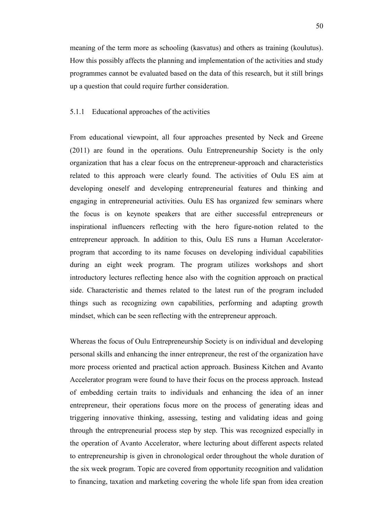meaning of the term more as schooling (kasvatus) and others as training (koulutus). How this possibly affects the planning and implementation of the activities and study programmes cannot be evaluated based on the data of this research, but it still brings up a question that could require further consideration.

# 5.1.1 Educational approaches of the activities

From educational viewpoint, all four approaches presented by Neck and Greene (2011) are found in the operations. Oulu Entrepreneurship Society is the only organization that has a clear focus on the entrepreneur-approach and characteristics related to this approach were clearly found. The activities of Oulu ES aim at developing oneself and developing entrepreneurial features and thinking and engaging in entrepreneurial activities. Oulu ES has organized few seminars where the focus is on keynote speakers that are either successful entrepreneurs or inspirational influencers reflecting with the hero figure-notion related to the entrepreneur approach. In addition to this, Oulu ES runs a Human Acceleratorprogram that according to its name focuses on developing individual capabilities during an eight week program. The program utilizes workshops and short introductory lectures reflecting hence also with the cognition approach on practical side. Characteristic and themes related to the latest run of the program included things such as recognizing own capabilities, performing and adapting growth mindset, which can be seen reflecting with the entrepreneur approach.

Whereas the focus of Oulu Entrepreneurship Society is on individual and developing personal skills and enhancing the inner entrepreneur, the rest of the organization have more process oriented and practical action approach. Business Kitchen and Avanto Accelerator program were found to have their focus on the process approach. Instead of embedding certain traits to individuals and enhancing the idea of an inner entrepreneur, their operations focus more on the process of generating ideas and triggering innovative thinking, assessing, testing and validating ideas and going through the entrepreneurial process step by step. This was recognized especially in the operation of Avanto Accelerator, where lecturing about different aspects related to entrepreneurship is given in chronological order throughout the whole duration of the six week program. Topic are covered from opportunity recognition and validation to financing, taxation and marketing covering the whole life span from idea creation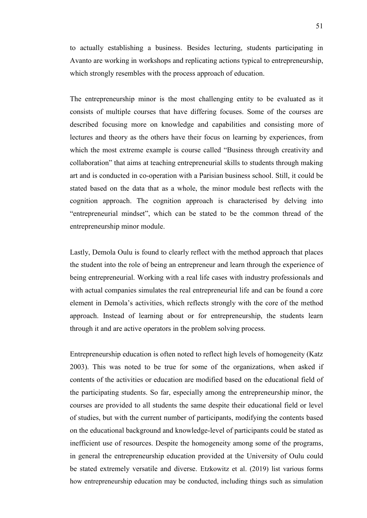to actually establishing a business. Besides lecturing, students participating in Avanto are working in workshops and replicating actions typical to entrepreneurship, which strongly resembles with the process approach of education.

The entrepreneurship minor is the most challenging entity to be evaluated as it consists of multiple courses that have differing focuses. Some of the courses are described focusing more on knowledge and capabilities and consisting more of lectures and theory as the others have their focus on learning by experiences, from which the most extreme example is course called "Business through creativity and collaboration" that aims at teaching entrepreneurial skills to students through making art and is conducted in co-operation with a Parisian business school. Still, it could be stated based on the data that as a whole, the minor module best reflects with the cognition approach. The cognition approach is characterised by delving into "entrepreneurial mindset", which can be stated to be the common thread of the entrepreneurship minor module.

Lastly, Demola Oulu is found to clearly reflect with the method approach that places the student into the role of being an entrepreneur and learn through the experience of being entrepreneurial. Working with a real life cases with industry professionals and with actual companies simulates the real entrepreneurial life and can be found a core element in Demola's activities, which reflects strongly with the core of the method approach. Instead of learning about or for entrepreneurship, the students learn through it and are active operators in the problem solving process.

Entrepreneurship education is often noted to reflect high levels of homogeneity (Katz 2003). This was noted to be true for some of the organizations, when asked if contents of the activities or education are modified based on the educational field of the participating students. So far, especially among the entrepreneurship minor, the courses are provided to all students the same despite their educational field or level of studies, but with the current number of participants, modifying the contents based on the educational background and knowledge-level of participants could be stated as inefficient use of resources. Despite the homogeneity among some of the programs, in general the entrepreneurship education provided at the University of Oulu could be stated extremely versatile and diverse. Etzkowitz et al. (2019) list various forms how entrepreneurship education may be conducted, including things such as simulation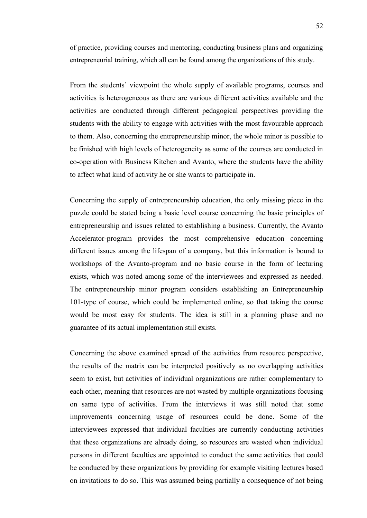of practice, providing courses and mentoring, conducting business plans and organizing entrepreneurial training, which all can be found among the organizations of this study.

From the students' viewpoint the whole supply of available programs, courses and activities is heterogeneous as there are various different activities available and the activities are conducted through different pedagogical perspectives providing the students with the ability to engage with activities with the most favourable approach to them. Also, concerning the entrepreneurship minor, the whole minor is possible to be finished with high levels of heterogeneity as some of the courses are conducted in co-operation with Business Kitchen and Avanto, where the students have the ability to affect what kind of activity he or she wants to participate in.

Concerning the supply of entrepreneurship education, the only missing piece in the puzzle could be stated being a basic level course concerning the basic principles of entrepreneurship and issues related to establishing a business. Currently, the Avanto Accelerator-program provides the most comprehensive education concerning different issues among the lifespan of a company, but this information is bound to workshops of the Avanto-program and no basic course in the form of lecturing exists, which was noted among some of the interviewees and expressed as needed. The entrepreneurship minor program considers establishing an Entrepreneurship 101-type of course, which could be implemented online, so that taking the course would be most easy for students. The idea is still in a planning phase and no guarantee of its actual implementation still exists.

Concerning the above examined spread of the activities from resource perspective, the results of the matrix can be interpreted positively as no overlapping activities seem to exist, but activities of individual organizations are rather complementary to each other, meaning that resources are not wasted by multiple organizations focusing on same type of activities. From the interviews it was still noted that some improvements concerning usage of resources could be done. Some of the interviewees expressed that individual faculties are currently conducting activities that these organizations are already doing, so resources are wasted when individual persons in different faculties are appointed to conduct the same activities that could be conducted by these organizations by providing for example visiting lectures based on invitations to do so. This was assumed being partially a consequence of not being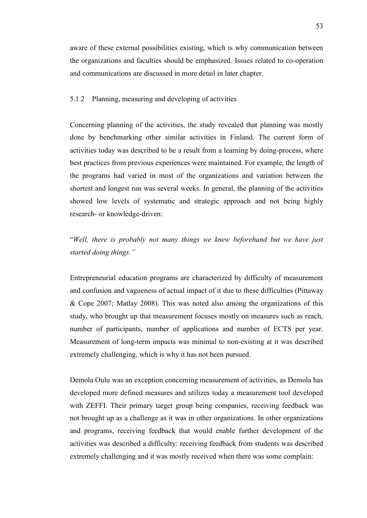aware of these external possibilities existing, which is why communication between the organizations and faculties should be emphasized. Issues related to co-operation and communications are discussed in more detail in later chapter.

# 5.1.2 Planning, measuring and developing of activities

Concerning planning of the activities, the study revealed that planning was mostly done by benchmarking other similar activities in Finland. The current form of activities today was described to be a result from a learning by doing-process, where best practices from previous experiences were maintained. For example, the length of the programs had varied in most of the organizations and variation between the shortest and longest run was several weeks. In general, the planning of the activities showed low levels of systematic and strategic approach and not being highly research- or knowledge-driven:

"*Well, there is probably not many things we knew beforehand but we have just started doing things."*

Entrepreneurial education programs are characterized by difficulty of measurement and confusion and vagueness of actual impact of it due to these difficulties (Pittaway & Cope 2007; Matlay 2008). This was noted also among the organizations of this study, who brought up that measurement focuses mostly on measures such as reach, number of participants, number of applications and number of ECTS per year. Measurement of long-term impacts was minimal to non-existing at it was described extremely challenging, which is why it has not been pursued.

Demola Oulu was an exception concerning measurement of activities, as Demola has developed more defined measures and utilizes today a measurement tool developed with ZEFFI. Their primary target group being companies, receiving feedback was not brought up as a challenge as it was in other organizations. In other organizations and programs, receiving feedback that would enable further development of the activities was described a difficulty: receiving feedback from students was described extremely challenging and it was mostly received when there was some complain: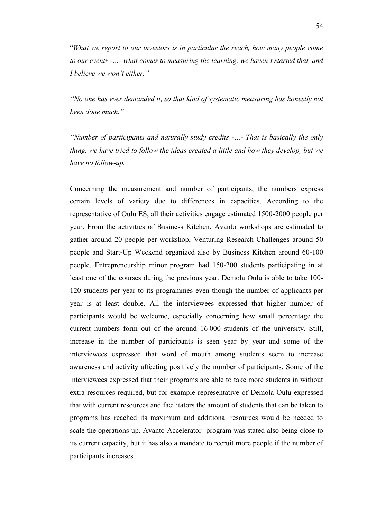"*What we report to our investors is in particular the reach, how many people come to our events -…- what comes to measuring the learning, we haven't started that, and I believe we won't either."* 

*"No one has ever demanded it, so that kind of systematic measuring has honestly not been done much."*

*"Number of participants and naturally study credits -…- That is basically the only thing, we have tried to follow the ideas created a little and how they develop, but we have no follow-up.*

Concerning the measurement and number of participants, the numbers express certain levels of variety due to differences in capacities. According to the representative of Oulu ES, all their activities engage estimated 1500-2000 people per year. From the activities of Business Kitchen, Avanto workshops are estimated to gather around 20 people per workshop, Venturing Research Challenges around 50 people and Start-Up Weekend organized also by Business Kitchen around 60-100 people. Entrepreneurship minor program had 150-200 students participating in at least one of the courses during the previous year. Demola Oulu is able to take 100- 120 students per year to its programmes even though the number of applicants per year is at least double. All the interviewees expressed that higher number of participants would be welcome, especially concerning how small percentage the current numbers form out of the around 16 000 students of the university. Still, increase in the number of participants is seen year by year and some of the interviewees expressed that word of mouth among students seem to increase awareness and activity affecting positively the number of participants. Some of the interviewees expressed that their programs are able to take more students in without extra resources required, but for example representative of Demola Oulu expressed that with current resources and facilitators the amount of students that can be taken to programs has reached its maximum and additional resources would be needed to scale the operations up. Avanto Accelerator -program was stated also being close to its current capacity, but it has also a mandate to recruit more people if the number of participants increases.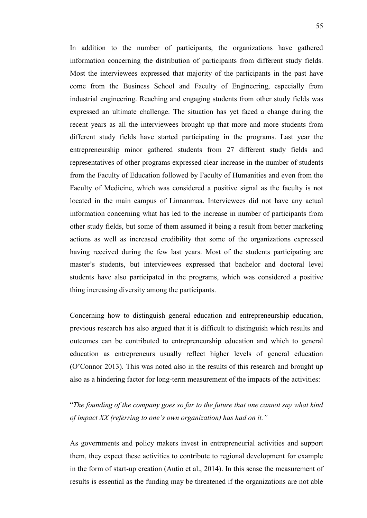In addition to the number of participants, the organizations have gathered information concerning the distribution of participants from different study fields. Most the interviewees expressed that majority of the participants in the past have come from the Business School and Faculty of Engineering, especially from industrial engineering. Reaching and engaging students from other study fields was expressed an ultimate challenge. The situation has yet faced a change during the recent years as all the interviewees brought up that more and more students from different study fields have started participating in the programs. Last year the entrepreneurship minor gathered students from 27 different study fields and representatives of other programs expressed clear increase in the number of students from the Faculty of Education followed by Faculty of Humanities and even from the Faculty of Medicine, which was considered a positive signal as the faculty is not located in the main campus of Linnanmaa. Interviewees did not have any actual information concerning what has led to the increase in number of participants from other study fields, but some of them assumed it being a result from better marketing actions as well as increased credibility that some of the organizations expressed having received during the few last years. Most of the students participating are master's students, but interviewees expressed that bachelor and doctoral level students have also participated in the programs, which was considered a positive thing increasing diversity among the participants.

Concerning how to distinguish general education and entrepreneurship education, previous research has also argued that it is difficult to distinguish which results and outcomes can be contributed to entrepreneurship education and which to general education as entrepreneurs usually reflect higher levels of general education (O'Connor 2013). This was noted also in the results of this research and brought up also as a hindering factor for long-term measurement of the impacts of the activities:

"*The founding of the company goes so far to the future that one cannot say what kind of impact XX (referring to one's own organization) has had on it."*

As governments and policy makers invest in entrepreneurial activities and support them, they expect these activities to contribute to regional development for example in the form of start-up creation (Autio et al., 2014). In this sense the measurement of results is essential as the funding may be threatened if the organizations are not able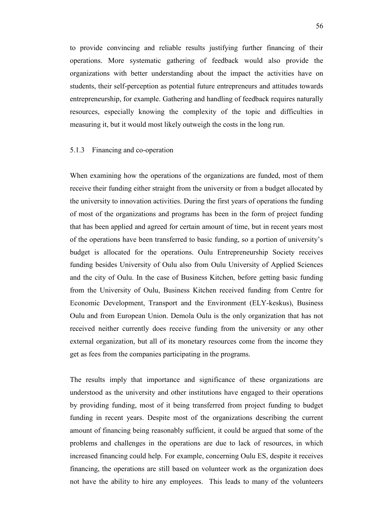to provide convincing and reliable results justifying further financing of their operations. More systematic gathering of feedback would also provide the organizations with better understanding about the impact the activities have on students, their self-perception as potential future entrepreneurs and attitudes towards entrepreneurship, for example. Gathering and handling of feedback requires naturally resources, especially knowing the complexity of the topic and difficulties in measuring it, but it would most likely outweigh the costs in the long run.

### 5.1.3 Financing and co-operation

When examining how the operations of the organizations are funded, most of them receive their funding either straight from the university or from a budget allocated by the university to innovation activities. During the first years of operations the funding of most of the organizations and programs has been in the form of project funding that has been applied and agreed for certain amount of time, but in recent years most of the operations have been transferred to basic funding, so a portion of university's budget is allocated for the operations. Oulu Entrepreneurship Society receives funding besides University of Oulu also from Oulu University of Applied Sciences and the city of Oulu. In the case of Business Kitchen, before getting basic funding from the University of Oulu, Business Kitchen received funding from Centre for Economic Development, Transport and the Environment (ELY-keskus), Business Oulu and from European Union. Demola Oulu is the only organization that has not received neither currently does receive funding from the university or any other external organization, but all of its monetary resources come from the income they get as fees from the companies participating in the programs.

The results imply that importance and significance of these organizations are understood as the university and other institutions have engaged to their operations by providing funding, most of it being transferred from project funding to budget funding in recent years. Despite most of the organizations describing the current amount of financing being reasonably sufficient, it could be argued that some of the problems and challenges in the operations are due to lack of resources, in which increased financing could help. For example, concerning Oulu ES, despite it receives financing, the operations are still based on volunteer work as the organization does not have the ability to hire any employees. This leads to many of the volunteers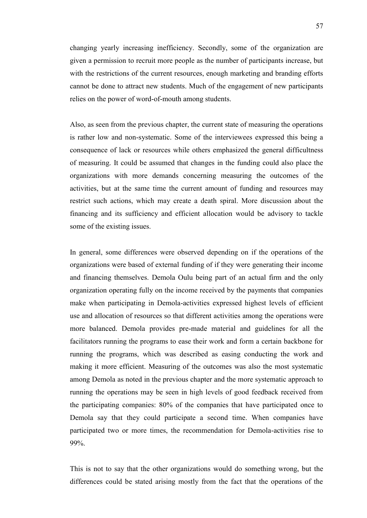changing yearly increasing inefficiency. Secondly, some of the organization are given a permission to recruit more people as the number of participants increase, but with the restrictions of the current resources, enough marketing and branding efforts cannot be done to attract new students. Much of the engagement of new participants relies on the power of word-of-mouth among students.

Also, as seen from the previous chapter, the current state of measuring the operations is rather low and non-systematic. Some of the interviewees expressed this being a consequence of lack or resources while others emphasized the general difficultness of measuring. It could be assumed that changes in the funding could also place the organizations with more demands concerning measuring the outcomes of the activities, but at the same time the current amount of funding and resources may restrict such actions, which may create a death spiral. More discussion about the financing and its sufficiency and efficient allocation would be advisory to tackle some of the existing issues.

In general, some differences were observed depending on if the operations of the organizations were based of external funding of if they were generating their income and financing themselves. Demola Oulu being part of an actual firm and the only organization operating fully on the income received by the payments that companies make when participating in Demola-activities expressed highest levels of efficient use and allocation of resources so that different activities among the operations were more balanced. Demola provides pre-made material and guidelines for all the facilitators running the programs to ease their work and form a certain backbone for running the programs, which was described as easing conducting the work and making it more efficient. Measuring of the outcomes was also the most systematic among Demola as noted in the previous chapter and the more systematic approach to running the operations may be seen in high levels of good feedback received from the participating companies: 80% of the companies that have participated once to Demola say that they could participate a second time. When companies have participated two or more times, the recommendation for Demola-activities rise to 99%.

This is not to say that the other organizations would do something wrong, but the differences could be stated arising mostly from the fact that the operations of the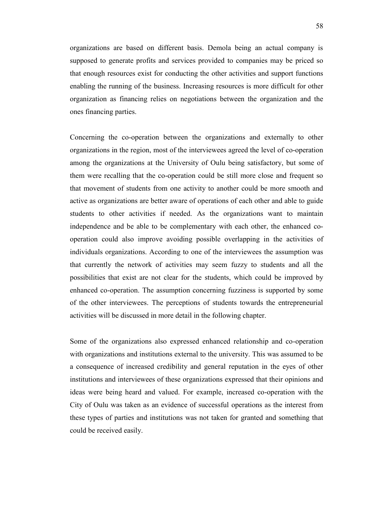organizations are based on different basis. Demola being an actual company is supposed to generate profits and services provided to companies may be priced so that enough resources exist for conducting the other activities and support functions enabling the running of the business. Increasing resources is more difficult for other organization as financing relies on negotiations between the organization and the ones financing parties.

Concerning the co-operation between the organizations and externally to other organizations in the region, most of the interviewees agreed the level of co-operation among the organizations at the University of Oulu being satisfactory, but some of them were recalling that the co-operation could be still more close and frequent so that movement of students from one activity to another could be more smooth and active as organizations are better aware of operations of each other and able to guide students to other activities if needed. As the organizations want to maintain independence and be able to be complementary with each other, the enhanced cooperation could also improve avoiding possible overlapping in the activities of individuals organizations. According to one of the interviewees the assumption was that currently the network of activities may seem fuzzy to students and all the possibilities that exist are not clear for the students, which could be improved by enhanced co-operation. The assumption concerning fuzziness is supported by some of the other interviewees. The perceptions of students towards the entrepreneurial activities will be discussed in more detail in the following chapter.

Some of the organizations also expressed enhanced relationship and co-operation with organizations and institutions external to the university. This was assumed to be a consequence of increased credibility and general reputation in the eyes of other institutions and interviewees of these organizations expressed that their opinions and ideas were being heard and valued. For example, increased co-operation with the City of Oulu was taken as an evidence of successful operations as the interest from these types of parties and institutions was not taken for granted and something that could be received easily.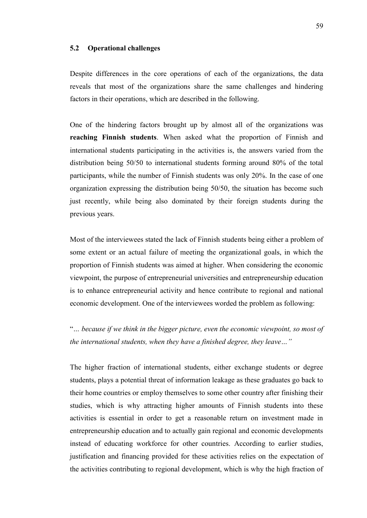## **5.2 Operational challenges**

Despite differences in the core operations of each of the organizations, the data reveals that most of the organizations share the same challenges and hindering factors in their operations, which are described in the following.

One of the hindering factors brought up by almost all of the organizations was **reaching Finnish students**. When asked what the proportion of Finnish and international students participating in the activities is, the answers varied from the distribution being 50/50 to international students forming around 80% of the total participants, while the number of Finnish students was only 20%. In the case of one organization expressing the distribution being 50/50, the situation has become such just recently, while being also dominated by their foreign students during the previous years.

Most of the interviewees stated the lack of Finnish students being either a problem of some extent or an actual failure of meeting the organizational goals, in which the proportion of Finnish students was aimed at higher. When considering the economic viewpoint, the purpose of entrepreneurial universities and entrepreneurship education is to enhance entrepreneurial activity and hence contribute to regional and national economic development. One of the interviewees worded the problem as following:

"*… because if we think in the bigger picture, even the economic viewpoint, so most of the international students, when they have a finished degree, they leave…"* 

The higher fraction of international students, either exchange students or degree students, plays a potential threat of information leakage as these graduates go back to their home countries or employ themselves to some other country after finishing their studies, which is why attracting higher amounts of Finnish students into these activities is essential in order to get a reasonable return on investment made in entrepreneurship education and to actually gain regional and economic developments instead of educating workforce for other countries. According to earlier studies, justification and financing provided for these activities relies on the expectation of the activities contributing to regional development, which is why the high fraction of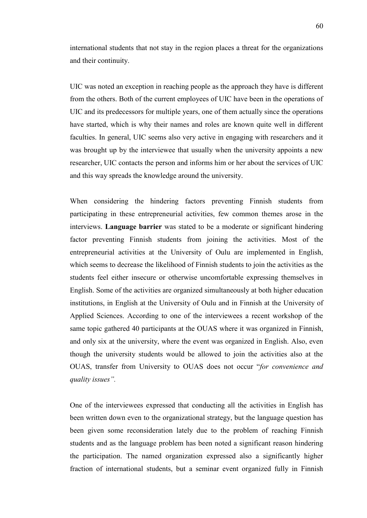international students that not stay in the region places a threat for the organizations and their continuity.

UIC was noted an exception in reaching people as the approach they have is different from the others. Both of the current employees of UIC have been in the operations of UIC and its predecessors for multiple years, one of them actually since the operations have started, which is why their names and roles are known quite well in different faculties. In general, UIC seems also very active in engaging with researchers and it was brought up by the interviewee that usually when the university appoints a new researcher, UIC contacts the person and informs him or her about the services of UIC and this way spreads the knowledge around the university.

When considering the hindering factors preventing Finnish students from participating in these entrepreneurial activities, few common themes arose in the interviews. **Language barrier** was stated to be a moderate or significant hindering factor preventing Finnish students from joining the activities. Most of the entrepreneurial activities at the University of Oulu are implemented in English, which seems to decrease the likelihood of Finnish students to join the activities as the students feel either insecure or otherwise uncomfortable expressing themselves in English. Some of the activities are organized simultaneously at both higher education institutions, in English at the University of Oulu and in Finnish at the University of Applied Sciences. According to one of the interviewees a recent workshop of the same topic gathered 40 participants at the OUAS where it was organized in Finnish, and only six at the university, where the event was organized in English. Also, even though the university students would be allowed to join the activities also at the OUAS, transfer from University to OUAS does not occur "*for convenience and quality issues".* 

One of the interviewees expressed that conducting all the activities in English has been written down even to the organizational strategy, but the language question has been given some reconsideration lately due to the problem of reaching Finnish students and as the language problem has been noted a significant reason hindering the participation. The named organization expressed also a significantly higher fraction of international students, but a seminar event organized fully in Finnish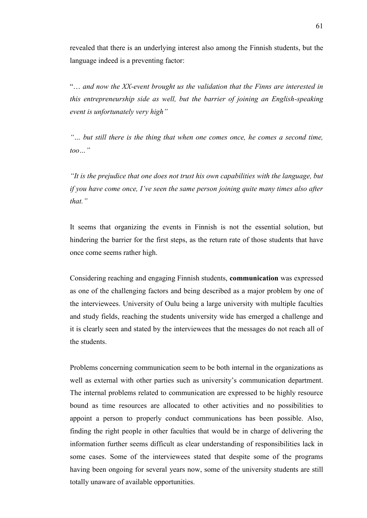revealed that there is an underlying interest also among the Finnish students, but the language indeed is a preventing factor:

"… *and now the XX-event brought us the validation that the Finns are interested in this entrepreneurship side as well, but the barrier of joining an English-speaking event is unfortunately very high"*

*"… but still there is the thing that when one comes once, he comes a second time, too…"* 

*"It is the prejudice that one does not trust his own capabilities with the language, but if you have come once, I've seen the same person joining quite many times also after that."*

It seems that organizing the events in Finnish is not the essential solution, but hindering the barrier for the first steps, as the return rate of those students that have once come seems rather high.

Considering reaching and engaging Finnish students, **communication** was expressed as one of the challenging factors and being described as a major problem by one of the interviewees. University of Oulu being a large university with multiple faculties and study fields, reaching the students university wide has emerged a challenge and it is clearly seen and stated by the interviewees that the messages do not reach all of the students.

Problems concerning communication seem to be both internal in the organizations as well as external with other parties such as university's communication department. The internal problems related to communication are expressed to be highly resource bound as time resources are allocated to other activities and no possibilities to appoint a person to properly conduct communications has been possible. Also, finding the right people in other faculties that would be in charge of delivering the information further seems difficult as clear understanding of responsibilities lack in some cases. Some of the interviewees stated that despite some of the programs having been ongoing for several years now, some of the university students are still totally unaware of available opportunities.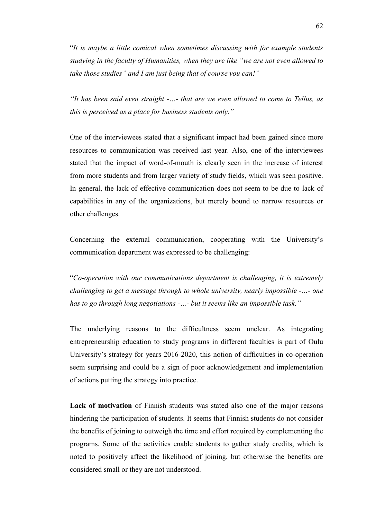"*It is maybe a little comical when sometimes discussing with for example students studying in the faculty of Humanities, when they are like "we are not even allowed to take those studies" and I am just being that of course you can!"* 

*"It has been said even straight -…- that are we even allowed to come to Tellus, as this is perceived as a place for business students only."*

One of the interviewees stated that a significant impact had been gained since more resources to communication was received last year. Also, one of the interviewees stated that the impact of word-of-mouth is clearly seen in the increase of interest from more students and from larger variety of study fields, which was seen positive. In general, the lack of effective communication does not seem to be due to lack of capabilities in any of the organizations, but merely bound to narrow resources or other challenges.

Concerning the external communication, cooperating with the University's communication department was expressed to be challenging:

"*Co-operation with our communications department is challenging, it is extremely challenging to get a message through to whole university, nearly impossible -…- one has to go through long negotiations -…- but it seems like an impossible task."*

The underlying reasons to the difficultness seem unclear. As integrating entrepreneurship education to study programs in different faculties is part of Oulu University's strategy for years 2016-2020, this notion of difficulties in co-operation seem surprising and could be a sign of poor acknowledgement and implementation of actions putting the strategy into practice.

**Lack of motivation** of Finnish students was stated also one of the major reasons hindering the participation of students. It seems that Finnish students do not consider the benefits of joining to outweigh the time and effort required by complementing the programs. Some of the activities enable students to gather study credits, which is noted to positively affect the likelihood of joining, but otherwise the benefits are considered small or they are not understood.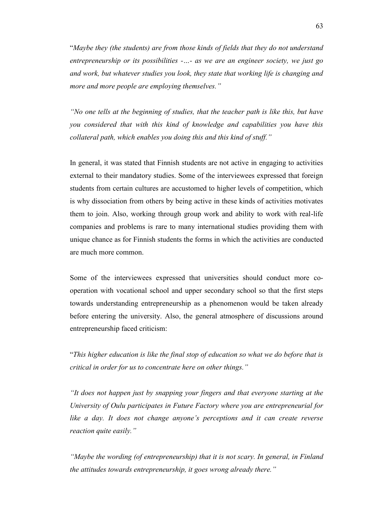"*Maybe they (the students) are from those kinds of fields that they do not understand entrepreneurship or its possibilities -…- as we are an engineer society, we just go and work, but whatever studies you look, they state that working life is changing and more and more people are employing themselves."*

*"No one tells at the beginning of studies, that the teacher path is like this, but have you considered that with this kind of knowledge and capabilities you have this collateral path, which enables you doing this and this kind of stuff."* 

In general, it was stated that Finnish students are not active in engaging to activities external to their mandatory studies. Some of the interviewees expressed that foreign students from certain cultures are accustomed to higher levels of competition, which is why dissociation from others by being active in these kinds of activities motivates them to join. Also, working through group work and ability to work with real-life companies and problems is rare to many international studies providing them with unique chance as for Finnish students the forms in which the activities are conducted are much more common.

Some of the interviewees expressed that universities should conduct more cooperation with vocational school and upper secondary school so that the first steps towards understanding entrepreneurship as a phenomenon would be taken already before entering the university. Also, the general atmosphere of discussions around entrepreneurship faced criticism:

"*This higher education is like the final stop of education so what we do before that is critical in order for us to concentrate here on other things."* 

*"It does not happen just by snapping your fingers and that everyone starting at the University of Oulu participates in Future Factory where you are entrepreneurial for like a day. It does not change anyone's perceptions and it can create reverse reaction quite easily."*

*"Maybe the wording (of entrepreneurship) that it is not scary. In general, in Finland the attitudes towards entrepreneurship, it goes wrong already there."*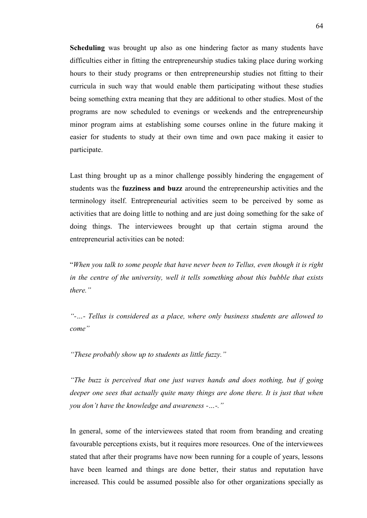**Scheduling** was brought up also as one hindering factor as many students have difficulties either in fitting the entrepreneurship studies taking place during working hours to their study programs or then entrepreneurship studies not fitting to their curricula in such way that would enable them participating without these studies being something extra meaning that they are additional to other studies. Most of the programs are now scheduled to evenings or weekends and the entrepreneurship minor program aims at establishing some courses online in the future making it easier for students to study at their own time and own pace making it easier to participate.

Last thing brought up as a minor challenge possibly hindering the engagement of students was the **fuzziness and buzz** around the entrepreneurship activities and the terminology itself. Entrepreneurial activities seem to be perceived by some as activities that are doing little to nothing and are just doing something for the sake of doing things. The interviewees brought up that certain stigma around the entrepreneurial activities can be noted:

"*When you talk to some people that have never been to Tellus, even though it is right in the centre of the university, well it tells something about this bubble that exists there."*

*"-…- Tellus is considered as a place, where only business students are allowed to come"* 

*"These probably show up to students as little fuzzy."*

*"The buzz is perceived that one just waves hands and does nothing, but if going deeper one sees that actually quite many things are done there. It is just that when you don't have the knowledge and awareness -…-."*

In general, some of the interviewees stated that room from branding and creating favourable perceptions exists, but it requires more resources. One of the interviewees stated that after their programs have now been running for a couple of years, lessons have been learned and things are done better, their status and reputation have increased. This could be assumed possible also for other organizations specially as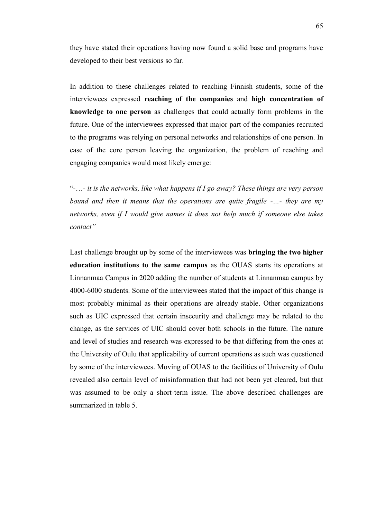they have stated their operations having now found a solid base and programs have developed to their best versions so far.

In addition to these challenges related to reaching Finnish students, some of the interviewees expressed **reaching of the companies** and **high concentration of knowledge to one person** as challenges that could actually form problems in the future. One of the interviewees expressed that major part of the companies recruited to the programs was relying on personal networks and relationships of one person. In case of the core person leaving the organization, the problem of reaching and engaging companies would most likely emerge:

"-…- *it is the networks, like what happens if I go away? These things are very person bound and then it means that the operations are quite fragile -…- they are my networks, even if I would give names it does not help much if someone else takes contact"* 

Last challenge brought up by some of the interviewees was **bringing the two higher education institutions to the same campus** as the OUAS starts its operations at Linnanmaa Campus in 2020 adding the number of students at Linnanmaa campus by 4000-6000 students. Some of the interviewees stated that the impact of this change is most probably minimal as their operations are already stable. Other organizations such as UIC expressed that certain insecurity and challenge may be related to the change, as the services of UIC should cover both schools in the future. The nature and level of studies and research was expressed to be that differing from the ones at the University of Oulu that applicability of current operations as such was questioned by some of the interviewees. Moving of OUAS to the facilities of University of Oulu revealed also certain level of misinformation that had not been yet cleared, but that was assumed to be only a short-term issue. The above described challenges are summarized in table 5.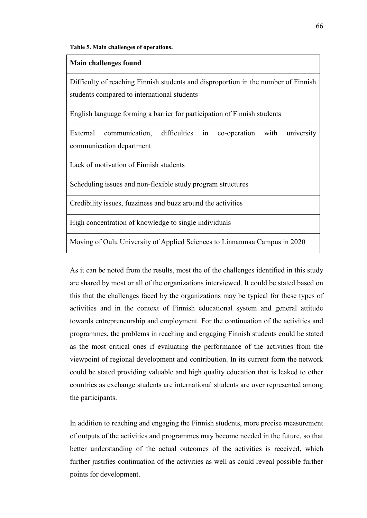#### **Table 5. Main challenges of operations.**

#### **Main challenges found**

Difficulty of reaching Finnish students and disproportion in the number of Finnish students compared to international students

English language forming a barrier for participation of Finnish students

External communication, difficulties in co-operation with university communication department

Lack of motivation of Finnish students

Scheduling issues and non-flexible study program structures

Credibility issues, fuzziness and buzz around the activities

High concentration of knowledge to single individuals

Moving of Oulu University of Applied Sciences to Linnanmaa Campus in 2020

As it can be noted from the results, most the of the challenges identified in this study are shared by most or all of the organizations interviewed. It could be stated based on this that the challenges faced by the organizations may be typical for these types of activities and in the context of Finnish educational system and general attitude towards entrepreneurship and employment. For the continuation of the activities and programmes, the problems in reaching and engaging Finnish students could be stated as the most critical ones if evaluating the performance of the activities from the viewpoint of regional development and contribution. In its current form the network could be stated providing valuable and high quality education that is leaked to other countries as exchange students are international students are over represented among the participants.

In addition to reaching and engaging the Finnish students, more precise measurement of outputs of the activities and programmes may become needed in the future, so that better understanding of the actual outcomes of the activities is received, which further justifies continuation of the activities as well as could reveal possible further points for development.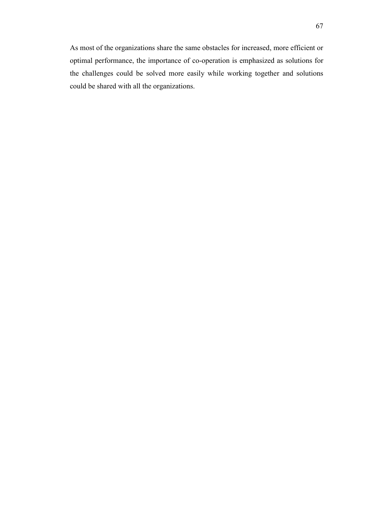As most of the organizations share the same obstacles for increased, more efficient or optimal performance, the importance of co-operation is emphasized as solutions for the challenges could be solved more easily while working together and solutions could be shared with all the organizations.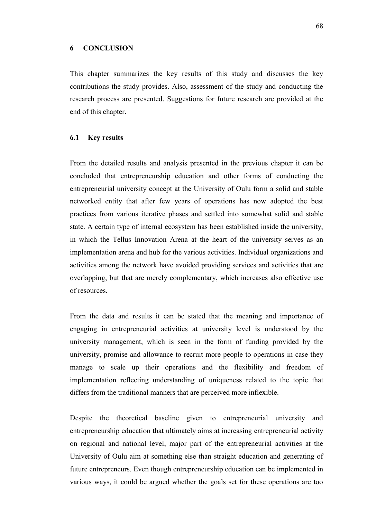#### **6 CONCLUSION**

This chapter summarizes the key results of this study and discusses the key contributions the study provides. Also, assessment of the study and conducting the research process are presented. Suggestions for future research are provided at the end of this chapter.

# **6.1 Key results**

From the detailed results and analysis presented in the previous chapter it can be concluded that entrepreneurship education and other forms of conducting the entrepreneurial university concept at the University of Oulu form a solid and stable networked entity that after few years of operations has now adopted the best practices from various iterative phases and settled into somewhat solid and stable state. A certain type of internal ecosystem has been established inside the university, in which the Tellus Innovation Arena at the heart of the university serves as an implementation arena and hub for the various activities. Individual organizations and activities among the network have avoided providing services and activities that are overlapping, but that are merely complementary, which increases also effective use of resources.

From the data and results it can be stated that the meaning and importance of engaging in entrepreneurial activities at university level is understood by the university management, which is seen in the form of funding provided by the university, promise and allowance to recruit more people to operations in case they manage to scale up their operations and the flexibility and freedom of implementation reflecting understanding of uniqueness related to the topic that differs from the traditional manners that are perceived more inflexible.

Despite the theoretical baseline given to entrepreneurial university and entrepreneurship education that ultimately aims at increasing entrepreneurial activity on regional and national level, major part of the entrepreneurial activities at the University of Oulu aim at something else than straight education and generating of future entrepreneurs. Even though entrepreneurship education can be implemented in various ways, it could be argued whether the goals set for these operations are too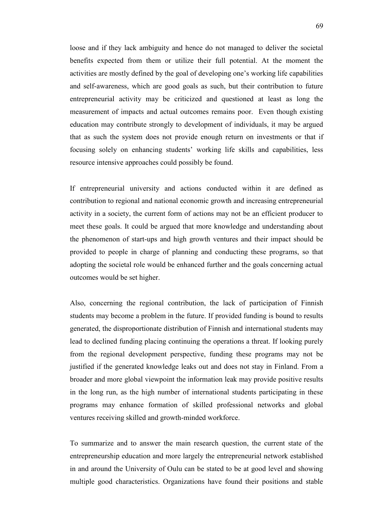loose and if they lack ambiguity and hence do not managed to deliver the societal benefits expected from them or utilize their full potential. At the moment the activities are mostly defined by the goal of developing one's working life capabilities and self-awareness, which are good goals as such, but their contribution to future entrepreneurial activity may be criticized and questioned at least as long the measurement of impacts and actual outcomes remains poor. Even though existing education may contribute strongly to development of individuals, it may be argued that as such the system does not provide enough return on investments or that if focusing solely on enhancing students' working life skills and capabilities, less resource intensive approaches could possibly be found.

If entrepreneurial university and actions conducted within it are defined as contribution to regional and national economic growth and increasing entrepreneurial activity in a society, the current form of actions may not be an efficient producer to meet these goals. It could be argued that more knowledge and understanding about the phenomenon of start-ups and high growth ventures and their impact should be provided to people in charge of planning and conducting these programs, so that adopting the societal role would be enhanced further and the goals concerning actual outcomes would be set higher.

Also, concerning the regional contribution, the lack of participation of Finnish students may become a problem in the future. If provided funding is bound to results generated, the disproportionate distribution of Finnish and international students may lead to declined funding placing continuing the operations a threat. If looking purely from the regional development perspective, funding these programs may not be justified if the generated knowledge leaks out and does not stay in Finland. From a broader and more global viewpoint the information leak may provide positive results in the long run, as the high number of international students participating in these programs may enhance formation of skilled professional networks and global ventures receiving skilled and growth-minded workforce.

To summarize and to answer the main research question, the current state of the entrepreneurship education and more largely the entrepreneurial network established in and around the University of Oulu can be stated to be at good level and showing multiple good characteristics. Organizations have found their positions and stable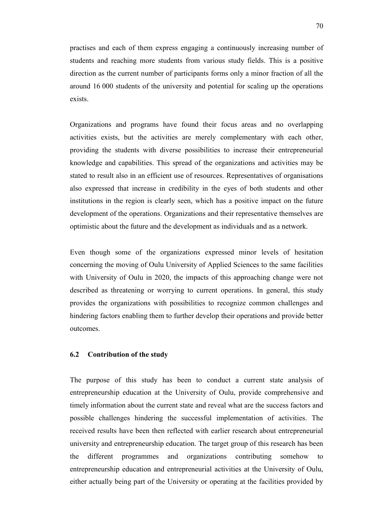practises and each of them express engaging a continuously increasing number of students and reaching more students from various study fields. This is a positive direction as the current number of participants forms only a minor fraction of all the around 16 000 students of the university and potential for scaling up the operations exists.

Organizations and programs have found their focus areas and no overlapping activities exists, but the activities are merely complementary with each other, providing the students with diverse possibilities to increase their entrepreneurial knowledge and capabilities. This spread of the organizations and activities may be stated to result also in an efficient use of resources. Representatives of organisations also expressed that increase in credibility in the eyes of both students and other institutions in the region is clearly seen, which has a positive impact on the future development of the operations. Organizations and their representative themselves are optimistic about the future and the development as individuals and as a network.

Even though some of the organizations expressed minor levels of hesitation concerning the moving of Oulu University of Applied Sciences to the same facilities with University of Oulu in 2020, the impacts of this approaching change were not described as threatening or worrying to current operations. In general, this study provides the organizations with possibilities to recognize common challenges and hindering factors enabling them to further develop their operations and provide better outcomes.

# **6.2 Contribution of the study**

The purpose of this study has been to conduct a current state analysis of entrepreneurship education at the University of Oulu, provide comprehensive and timely information about the current state and reveal what are the success factors and possible challenges hindering the successful implementation of activities. The received results have been then reflected with earlier research about entrepreneurial university and entrepreneurship education. The target group of this research has been the different programmes and organizations contributing somehow to entrepreneurship education and entrepreneurial activities at the University of Oulu, either actually being part of the University or operating at the facilities provided by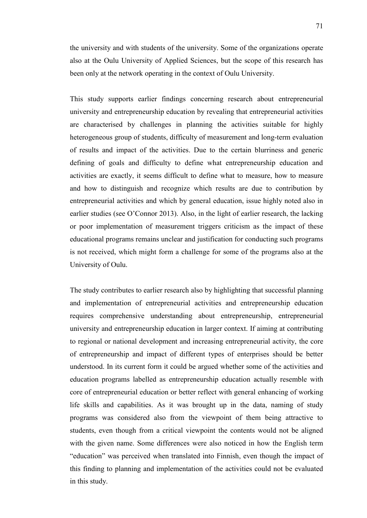the university and with students of the university. Some of the organizations operate also at the Oulu University of Applied Sciences, but the scope of this research has been only at the network operating in the context of Oulu University.

This study supports earlier findings concerning research about entrepreneurial university and entrepreneurship education by revealing that entrepreneurial activities are characterised by challenges in planning the activities suitable for highly heterogeneous group of students, difficulty of measurement and long-term evaluation of results and impact of the activities. Due to the certain blurriness and generic defining of goals and difficulty to define what entrepreneurship education and activities are exactly, it seems difficult to define what to measure, how to measure and how to distinguish and recognize which results are due to contribution by entrepreneurial activities and which by general education, issue highly noted also in earlier studies (see O'Connor 2013). Also, in the light of earlier research, the lacking or poor implementation of measurement triggers criticism as the impact of these educational programs remains unclear and justification for conducting such programs is not received, which might form a challenge for some of the programs also at the University of Oulu.

The study contributes to earlier research also by highlighting that successful planning and implementation of entrepreneurial activities and entrepreneurship education requires comprehensive understanding about entrepreneurship, entrepreneurial university and entrepreneurship education in larger context. If aiming at contributing to regional or national development and increasing entrepreneurial activity, the core of entrepreneurship and impact of different types of enterprises should be better understood. In its current form it could be argued whether some of the activities and education programs labelled as entrepreneurship education actually resemble with core of entrepreneurial education or better reflect with general enhancing of working life skills and capabilities. As it was brought up in the data, naming of study programs was considered also from the viewpoint of them being attractive to students, even though from a critical viewpoint the contents would not be aligned with the given name. Some differences were also noticed in how the English term "education" was perceived when translated into Finnish, even though the impact of this finding to planning and implementation of the activities could not be evaluated in this study.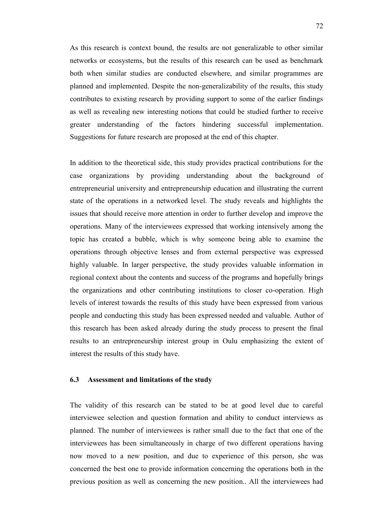As this research is context bound, the results are not generalizable to other similar networks or ecosystems, but the results of this research can be used as benchmark both when similar studies are conducted elsewhere, and similar programmes are planned and implemented. Despite the non-generalizability of the results, this study contributes to existing research by providing support to some of the earlier findings as well as revealing new interesting notions that could be studied further to receive greater understanding of the factors hindering successful implementation. Suggestions for future research are proposed at the end of this chapter.

In addition to the theoretical side, this study provides practical contributions for the case organizations by providing understanding about the background of entrepreneurial university and entrepreneurship education and illustrating the current state of the operations in a networked level. The study reveals and highlights the issues that should receive more attention in order to further develop and improve the operations. Many of the interviewees expressed that working intensively among the topic has created a bubble, which is why someone being able to examine the operations through objective lenses and from external perspective was expressed highly valuable. In larger perspective, the study provides valuable information in regional context about the contents and success of the programs and hopefully brings the organizations and other contributing institutions to closer co-operation. High levels of interest towards the results of this study have been expressed from various people and conducting this study has been expressed needed and valuable. Author of this research has been asked already during the study process to present the final results to an entrepreneurship interest group in Oulu emphasizing the extent of interest the results of this study have.

## **6.3 Assessment and limitations of the study**

The validity of this research can be stated to be at good level due to careful interviewee selection and question formation and ability to conduct interviews as planned. The number of interviewees is rather small due to the fact that one of the interviewees has been simultaneously in charge of two different operations having now moved to a new position, and due to experience of this person, she was concerned the best one to provide information concerning the operations both in the previous position as well as concerning the new position.. All the interviewees had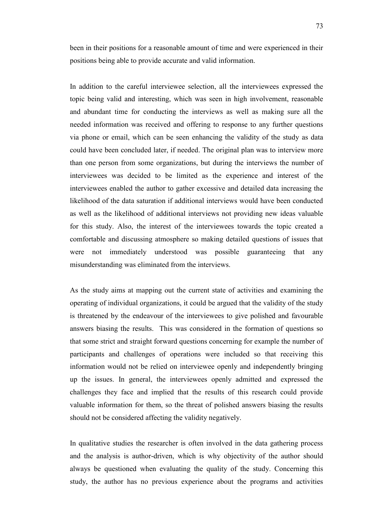been in their positions for a reasonable amount of time and were experienced in their positions being able to provide accurate and valid information.

In addition to the careful interviewee selection, all the interviewees expressed the topic being valid and interesting, which was seen in high involvement, reasonable and abundant time for conducting the interviews as well as making sure all the needed information was received and offering to response to any further questions via phone or email, which can be seen enhancing the validity of the study as data could have been concluded later, if needed. The original plan was to interview more than one person from some organizations, but during the interviews the number of interviewees was decided to be limited as the experience and interest of the interviewees enabled the author to gather excessive and detailed data increasing the likelihood of the data saturation if additional interviews would have been conducted as well as the likelihood of additional interviews not providing new ideas valuable for this study. Also, the interest of the interviewees towards the topic created a comfortable and discussing atmosphere so making detailed questions of issues that were not immediately understood was possible guaranteeing that any misunderstanding was eliminated from the interviews.

As the study aims at mapping out the current state of activities and examining the operating of individual organizations, it could be argued that the validity of the study is threatened by the endeavour of the interviewees to give polished and favourable answers biasing the results. This was considered in the formation of questions so that some strict and straight forward questions concerning for example the number of participants and challenges of operations were included so that receiving this information would not be relied on interviewee openly and independently bringing up the issues. In general, the interviewees openly admitted and expressed the challenges they face and implied that the results of this research could provide valuable information for them, so the threat of polished answers biasing the results should not be considered affecting the validity negatively.

In qualitative studies the researcher is often involved in the data gathering process and the analysis is author-driven, which is why objectivity of the author should always be questioned when evaluating the quality of the study. Concerning this study, the author has no previous experience about the programs and activities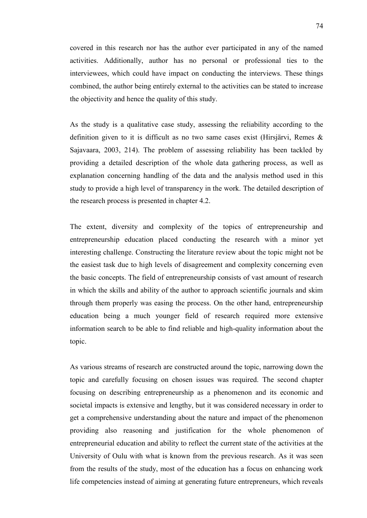covered in this research nor has the author ever participated in any of the named activities. Additionally, author has no personal or professional ties to the interviewees, which could have impact on conducting the interviews. These things combined, the author being entirely external to the activities can be stated to increase the objectivity and hence the quality of this study.

As the study is a qualitative case study, assessing the reliability according to the definition given to it is difficult as no two same cases exist (Hirsjärvi, Remes & Sajavaara, 2003, 214). The problem of assessing reliability has been tackled by providing a detailed description of the whole data gathering process, as well as explanation concerning handling of the data and the analysis method used in this study to provide a high level of transparency in the work. The detailed description of the research process is presented in chapter 4.2.

The extent, diversity and complexity of the topics of entrepreneurship and entrepreneurship education placed conducting the research with a minor yet interesting challenge. Constructing the literature review about the topic might not be the easiest task due to high levels of disagreement and complexity concerning even the basic concepts. The field of entrepreneurship consists of vast amount of research in which the skills and ability of the author to approach scientific journals and skim through them properly was easing the process. On the other hand, entrepreneurship education being a much younger field of research required more extensive information search to be able to find reliable and high-quality information about the topic.

As various streams of research are constructed around the topic, narrowing down the topic and carefully focusing on chosen issues was required. The second chapter focusing on describing entrepreneurship as a phenomenon and its economic and societal impacts is extensive and lengthy, but it was considered necessary in order to get a comprehensive understanding about the nature and impact of the phenomenon providing also reasoning and justification for the whole phenomenon of entrepreneurial education and ability to reflect the current state of the activities at the University of Oulu with what is known from the previous research. As it was seen from the results of the study, most of the education has a focus on enhancing work life competencies instead of aiming at generating future entrepreneurs, which reveals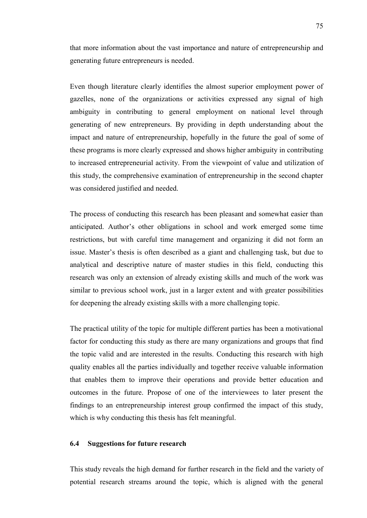that more information about the vast importance and nature of entrepreneurship and generating future entrepreneurs is needed.

Even though literature clearly identifies the almost superior employment power of gazelles, none of the organizations or activities expressed any signal of high ambiguity in contributing to general employment on national level through generating of new entrepreneurs. By providing in depth understanding about the impact and nature of entrepreneurship, hopefully in the future the goal of some of these programs is more clearly expressed and shows higher ambiguity in contributing to increased entrepreneurial activity. From the viewpoint of value and utilization of this study, the comprehensive examination of entrepreneurship in the second chapter was considered justified and needed.

The process of conducting this research has been pleasant and somewhat easier than anticipated. Author's other obligations in school and work emerged some time restrictions, but with careful time management and organizing it did not form an issue. Master's thesis is often described as a giant and challenging task, but due to analytical and descriptive nature of master studies in this field, conducting this research was only an extension of already existing skills and much of the work was similar to previous school work, just in a larger extent and with greater possibilities for deepening the already existing skills with a more challenging topic.

The practical utility of the topic for multiple different parties has been a motivational factor for conducting this study as there are many organizations and groups that find the topic valid and are interested in the results. Conducting this research with high quality enables all the parties individually and together receive valuable information that enables them to improve their operations and provide better education and outcomes in the future. Propose of one of the interviewees to later present the findings to an entrepreneurship interest group confirmed the impact of this study, which is why conducting this thesis has felt meaningful.

## **6.4 Suggestions for future research**

This study reveals the high demand for further research in the field and the variety of potential research streams around the topic, which is aligned with the general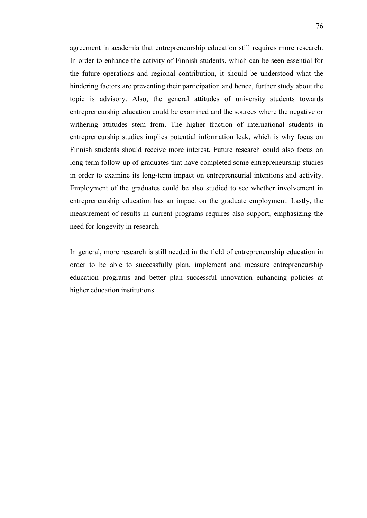agreement in academia that entrepreneurship education still requires more research. In order to enhance the activity of Finnish students, which can be seen essential for the future operations and regional contribution, it should be understood what the hindering factors are preventing their participation and hence, further study about the topic is advisory. Also, the general attitudes of university students towards entrepreneurship education could be examined and the sources where the negative or withering attitudes stem from. The higher fraction of international students in entrepreneurship studies implies potential information leak, which is why focus on Finnish students should receive more interest. Future research could also focus on long-term follow-up of graduates that have completed some entrepreneurship studies in order to examine its long-term impact on entrepreneurial intentions and activity. Employment of the graduates could be also studied to see whether involvement in entrepreneurship education has an impact on the graduate employment. Lastly, the measurement of results in current programs requires also support, emphasizing the need for longevity in research.

In general, more research is still needed in the field of entrepreneurship education in order to be able to successfully plan, implement and measure entrepreneurship education programs and better plan successful innovation enhancing policies at higher education institutions.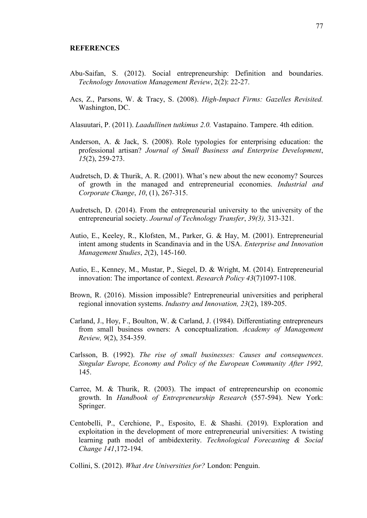## **REFERENCES**

- Abu-Saifan, S. (2012). Social entrepreneurship: Definition and boundaries. *Technology Innovation Management Review*, 2(2): 22-27.
- Acs, Z., Parsons, W. & Tracy, S. (2008). *High-Impact Firms: Gazelles Revisited.* Washington, DC.
- Alasuutari, P. (2011). *Laadullinen tutkimus 2.0.* Vastapaino. Tampere. 4th edition.
- Anderson, A. & Jack, S. (2008). Role typologies for enterprising education: the professional artisan? *Journal of Small Business and Enterprise Development*, *15*(2), 259-273.
- Audretsch, D. & Thurik, A. R. (2001). What's new about the new economy? Sources of growth in the managed and entrepreneurial economies. *Industrial and Corporate Change*, *10*, (1), 267-315.
- Audretsch, D. (2014). From the entrepreneurial university to the university of the entrepreneurial society. *Journal of Technology Transfer*, *39(3),* 313-321.
- Autio, E., Keeley, R., Klofsten, M., Parker, G. & Hay, M. (2001). Entrepreneurial intent among students in Scandinavia and in the USA. *Enterprise and Innovation Management Studies*, *2*(2), 145-160.
- Autio, E., Kenney, M., Mustar, P., Siegel, D. & Wright, M. (2014). Entrepreneurial innovation: The importance of context. *Research Policy 43*(7)1097-1108.
- Brown, R. (2016). Mission impossible? Entrepreneurial universities and peripheral regional innovation systems. *Industry and Innovation, 23*(2), 189-205.
- Carland, J., Hoy, F., Boulton, W. & Carland, J. (1984). Differentiating entrepreneurs from small business owners: A conceptualization. *Academy of Management Review, 9*(2), 354-359.
- Carlsson, B. (1992). *The rise of small businesses: Causes and consequences*. *Singular Europe, Economy and Policy of the European Community After 1992,*  145.
- Carree, M. & Thurik, R. (2003). The impact of entrepreneurship on economic growth. In *Handbook of Entrepreneurship Research* (557-594). New York: Springer.
- Centobelli, P., Cerchione, P., Esposito, E. & Shashi. (2019). Exploration and exploitation in the development of more entrepreneurial universities: A twisting learning path model of ambidexterity. *Technological Forecasting & Social Change 141*,172-194.

Collini, S. (2012). *What Are Universities for?* London: Penguin.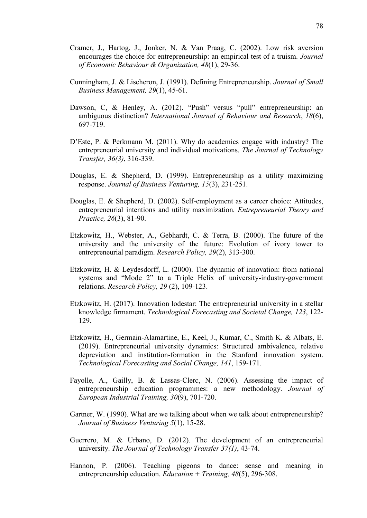- Cramer, J., Hartog, J., Jonker, N. & Van Praag, C. (2002). Low risk aversion encourages the choice for entrepreneurship: an empirical test of a truism. *Journal of Economic Behaviour & Organization, 48*(1), 29-36.
- Cunningham, J. & Lischeron, J. (1991). Defining Entrepreneurship. *Journal of Small Business Management, 29*(1), 45-61.
- Dawson, C, & Henley, A. (2012). "Push" versus "pull" entrepreneurship: an ambiguous distinction? *International Journal of Behaviour and Research*, *18*(6), 697-719.
- D'Este, P. & Perkmann M. (2011). Why do academics engage with industry? The entrepreneurial university and individual motivations. *The Journal of Technology Transfer, 36(3)*, 316-339.
- Douglas, E. & Shepherd, D. (1999). Entrepreneurship as a utility maximizing response. *Journal of Business Venturing, 15*(3), 231-251.
- Douglas, E. & Shepherd, D. (2002). Self-employment as a career choice: Attitudes, entrepreneurial intentions and utility maximization*. Entrepreneurial Theory and Practice, 26*(3), 81-90.
- Etzkowitz, H., Webster, A., Gebhardt, C. & Terra, B. (2000). The future of the university and the university of the future: Evolution of ivory tower to entrepreneurial paradigm. *Research Policy, 29*(2), 313-300.
- Etzkowitz, H. & Leydesdorff, L. (2000). The dynamic of innovation: from national systems and "Mode 2" to a Triple Helix of university-industry-government relations. *Research Policy, 29* (2), 109-123.
- Etzkowitz, H. (2017). Innovation lodestar: The entrepreneurial university in a stellar knowledge firmament. *Technological Forecasting and Societal Change, 123*, 122- 129.
- Etzkowitz, H., Germain-Alamartine, E., Keel, J., Kumar, C., Smith K. & Albats, E. (2019). Entrepreneurial university dynamics: Structured ambivalence, relative depreviation and institution-formation in the Stanford innovation system. *Technological Forecasting and Social Change, 141*, 159-171.
- Fayolle, A., Gailly, B. & Lassas-Clerc, N. (2006). Assessing the impact of entrepreneurship education programmes: a new methodology. *Journal of European Industrial Training, 30*(9), 701-720.
- Gartner, W. (1990). What are we talking about when we talk about entrepreneurship? *Journal of Business Venturing 5*(1), 15-28.
- Guerrero, M. & Urbano, D. (2012). The development of an entrepreneurial university. *The Journal of Technology Transfer 37(1)*, 43-74.
- Hannon, P. (2006). Teaching pigeons to dance: sense and meaning in entrepreneurship education. *Education + Training, 48*(5), 296-308.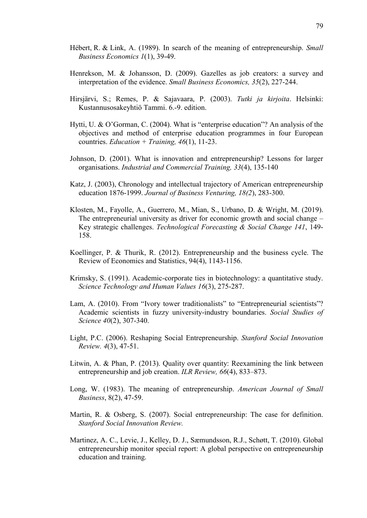- Hébert, R. & Link, A. (1989). In search of the meaning of entrepreneurship. *Small Business Economics 1*(1), 39-49.
- Henrekson, M. & Johansson, D. (2009). Gazelles as job creators: a survey and interpretation of the evidence. *Small Business Economics, 35*(2), 227-244.
- Hirsjärvi, S.; Remes, P. & Sajavaara, P. (2003). *Tutki ja kirjoita*. Helsinki: Kustannusosakeyhtiö Tammi. 6.-9. edition.
- Hytti, U. & O'Gorman, C. (2004). What is "enterprise education"? An analysis of the objectives and method of enterprise education programmes in four European countries. *Education + Training, 46*(1), 11-23.
- Johnson, D. (2001). What is innovation and entrepreneurship? Lessons for larger organisations. *Industrial and Commercial Training, 33*(4), 135-140
- Katz, J. (2003), Chronology and intellectual trajectory of American entrepreneurship education 1876-1999. *Journal of Business Venturing, 18(2*), 283-300.
- Klosten, M., Fayolle, A., Guerrero, M., Mian, S., Urbano, D. & Wright, M. (2019). The entrepreneurial university as driver for economic growth and social change – Key strategic challenges. *Technological Forecasting & Social Change 141*, 149- 158.
- Koellinger, P. & Thurik, R. (2012). Entrepreneurship and the business cycle. The Review of Economics and Statistics, 94(4), 1143-1156.
- Krimsky, S. (1991). Academic-corporate ties in biotechnology: a quantitative study. *Science Technology and Human Values 16*(3), 275-287.
- Lam, A. (2010). From "Ivory tower traditionalists" to "Entrepreneurial scientists"? Academic scientists in fuzzy university-industry boundaries. *Social Studies of Science 40*(2), 307-340.
- Light, P.C. (2006). Reshaping Social Entrepreneurship. *Stanford Social Innovation Review. 4*(3), 47-51.
- Litwin, A. & Phan, P. (2013). Quality over quantity: Reexamining the link between entrepreneurship and job creation. *ILR Review, 66*(4), 833–873.
- Long, W. (1983). The meaning of entrepreneurship. *American Journal of Small Business*, 8(2), 47-59.
- Martin, R. & Osberg, S. (2007). Social entrepreneurship: The case for definition. *Stanford Social Innovation Review.*
- Martinez, A. C., Levie, J., Kelley, D. J., Sæmundsson, R.J., Schøtt, T. (2010). Global entrepreneurship monitor special report: A global perspective on entrepreneurship education and training.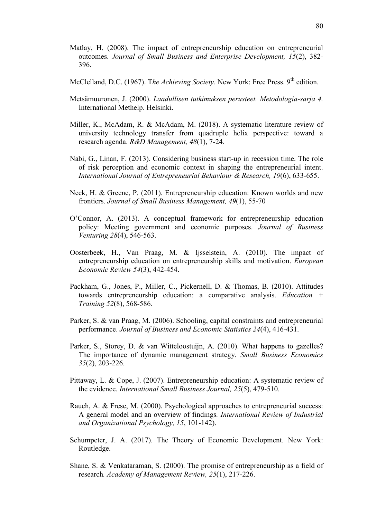- Matlay, H. (2008). The impact of entrepreneurship education on entrepreneurial outcomes. *Journal of Small Business and Enterprise Development, 15*(2), 382- 396.
- McClelland, D.C. (1967). The Achieving Society. New York: Free Press. 9<sup>th</sup> edition.
- Metsämuuronen, J. (2000). *Laadullisen tutkimuksen perusteet. Metodologia-sarja 4.*  International Methelp. Helsinki.
- Miller, K., McAdam, R. & McAdam, M. (2018). A systematic literature review of university technology transfer from quadruple helix perspective: toward a research agenda. *R&D Management, 48*(1), 7-24.
- Nabi, G., Linan, F. (2013). Considering business start-up in recession time. The role of risk perception and economic context in shaping the entrepreneurial intent. *International Journal of Entrepreneurial Behaviour & Research, 19*(6), 633-655.
- Neck, H. & Greene, P. (2011). Entrepreneurship education: Known worlds and new frontiers. *Journal of Small Business Management, 49*(1), 55-70
- O'Connor, A. (2013). A conceptual framework for entrepreneurship education policy: Meeting government and economic purposes. *Journal of Business Venturing 28*(4), 546-563.
- Oosterbeek, H., Van Praag, M. & Ijsselstein, A. (2010). The impact of entrepreneurship education on entrepreneurship skills and motivation. *European Economic Review 54*(3), 442-454.
- Packham, G., Jones, P., Miller, C., Pickernell, D. & Thomas, B. (2010). Attitudes towards entrepreneurship education: a comparative analysis. *Education + Training 52*(8), 568-586.
- Parker, S. & van Praag, M. (2006). Schooling, capital constraints and entrepreneurial performance. *Journal of Business and Economic Statistics 24*(4), 416-431.
- Parker, S., Storey, D. & van Witteloostuijn, A. (2010). What happens to gazelles? The importance of dynamic management strategy. *Small Business Economics 35*(2), 203-226.
- Pittaway, L. & Cope, J. (2007). Entrepreneurship education: A systematic review of the evidence. *International Small Business Journal, 25*(5), 479-510.
- Rauch, A. & Frese, M. (2000). Psychological approaches to entrepreneurial success: A general model and an overview of findings*. International Review of Industrial and Organizational Psychology, 15*, 101-142).
- Schumpeter, J. A. (2017). The Theory of Economic Development. New York: Routledge.
- Shane, S. & Venkataraman, S. (2000). The promise of entrepreneurship as a field of research*. Academy of Management Review, 25*(1), 217-226.